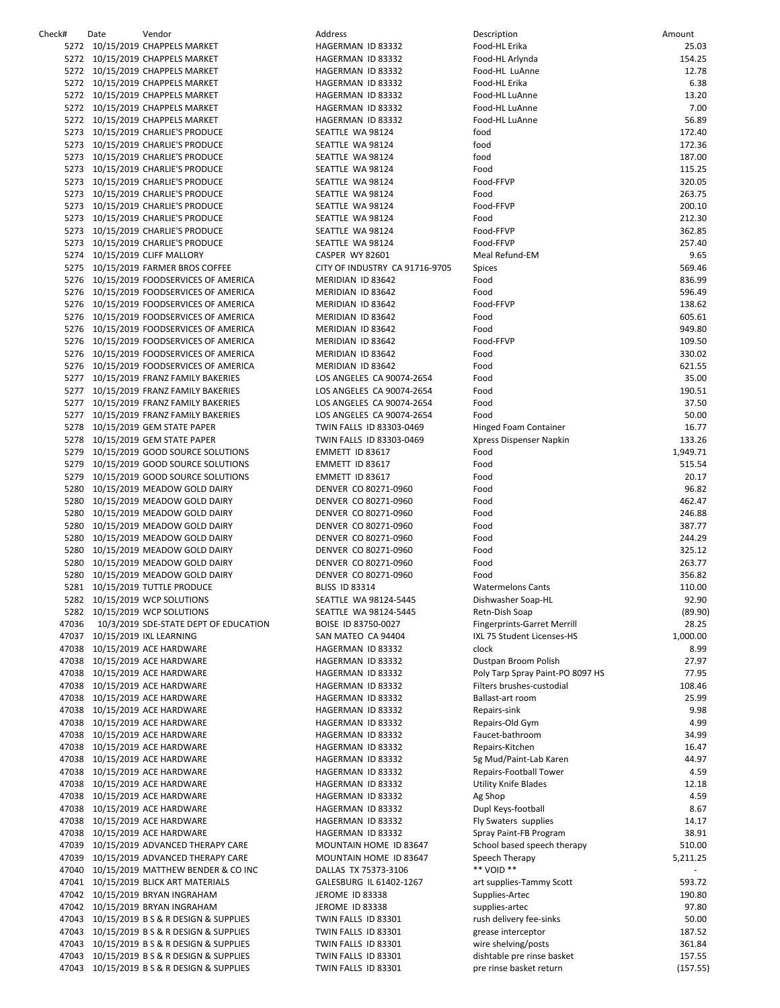| Check# | Date | Vendor                                     | Address                        | Description                        | Amount   |
|--------|------|--------------------------------------------|--------------------------------|------------------------------------|----------|
|        |      | 5272 10/15/2019 CHAPPELS MARKET            | HAGERMAN ID 83332              | Food-HL Erika                      | 25.03    |
|        |      | 5272 10/15/2019 CHAPPELS MARKET            | HAGERMAN ID 83332              | Food-HL Arlynda                    | 154.25   |
|        |      | 5272 10/15/2019 CHAPPELS MARKET            | HAGERMAN ID 83332              | Food-HL LuAnne                     | 12.78    |
|        |      | 5272 10/15/2019 CHAPPELS MARKET            | HAGERMAN ID 83332              | Food-HL Erika                      | 6.38     |
|        |      | 5272 10/15/2019 CHAPPELS MARKET            | HAGERMAN ID 83332              | Food-HL LuAnne                     | 13.20    |
|        |      |                                            |                                |                                    |          |
|        |      | 5272 10/15/2019 CHAPPELS MARKET            | HAGERMAN ID 83332              | Food-HL LuAnne                     | 7.00     |
|        |      | 5272 10/15/2019 CHAPPELS MARKET            | HAGERMAN ID 83332              | Food-HL LuAnne                     | 56.89    |
|        |      | 5273 10/15/2019 CHARLIE'S PRODUCE          | SEATTLE WA 98124               | food                               | 172.40   |
|        |      | 5273 10/15/2019 CHARLIE'S PRODUCE          | SEATTLE WA 98124               | food                               | 172.36   |
|        |      | 5273 10/15/2019 CHARLIE'S PRODUCE          | SEATTLE WA 98124               | food                               | 187.00   |
|        |      | 5273 10/15/2019 CHARLIE'S PRODUCE          | SEATTLE WA 98124               | Food                               | 115.25   |
|        |      | 5273 10/15/2019 CHARLIE'S PRODUCE          | SEATTLE WA 98124               | Food-FFVP                          | 320.05   |
|        |      | 5273 10/15/2019 CHARLIE'S PRODUCE          | SEATTLE WA 98124               | Food                               | 263.75   |
|        |      | 5273 10/15/2019 CHARLIE'S PRODUCE          | SEATTLE WA 98124               | Food-FFVP                          | 200.10   |
|        |      |                                            |                                |                                    |          |
|        |      | 5273 10/15/2019 CHARLIE'S PRODUCE          | SEATTLE WA 98124               | Food                               | 212.30   |
|        |      | 5273 10/15/2019 CHARLIE'S PRODUCE          | SEATTLE WA 98124               | Food-FFVP                          | 362.85   |
|        |      | 5273 10/15/2019 CHARLIE'S PRODUCE          | SEATTLE WA 98124               | Food-FFVP                          | 257.40   |
|        |      | 5274 10/15/2019 CLIFF MALLORY              | CASPER WY 82601                | Meal Refund-EM                     | 9.65     |
|        |      | 5275 10/15/2019 FARMER BROS COFFEE         | CITY OF INDUSTRY CA 91716-9705 | Spices                             | 569.46   |
|        |      | 5276 10/15/2019 FOODSERVICES OF AMERICA    | MERIDIAN ID 83642              | Food                               | 836.99   |
|        |      | 5276 10/15/2019 FOODSERVICES OF AMERICA    | MERIDIAN ID 83642              | Food                               | 596.49   |
|        |      | 5276 10/15/2019 FOODSERVICES OF AMERICA    | MERIDIAN ID 83642              | Food-FFVP                          | 138.62   |
|        |      | 5276 10/15/2019 FOODSERVICES OF AMERICA    | MERIDIAN ID 83642              | Food                               | 605.61   |
|        |      |                                            |                                |                                    |          |
|        |      | 5276 10/15/2019 FOODSERVICES OF AMERICA    | MERIDIAN ID 83642              | Food                               | 949.80   |
|        |      | 5276 10/15/2019 FOODSERVICES OF AMERICA    | MERIDIAN ID 83642              | Food-FFVP                          | 109.50   |
|        |      | 5276 10/15/2019 FOODSERVICES OF AMERICA    | MERIDIAN ID 83642              | Food                               | 330.02   |
|        |      | 5276 10/15/2019 FOODSERVICES OF AMERICA    | MERIDIAN ID 83642              | Food                               | 621.55   |
|        |      | 5277 10/15/2019 FRANZ FAMILY BAKERIES      | LOS ANGELES CA 90074-2654      | Food                               | 35.00    |
|        |      | 5277 10/15/2019 FRANZ FAMILY BAKERIES      | LOS ANGELES CA 90074-2654      | Food                               | 190.51   |
|        |      | 5277 10/15/2019 FRANZ FAMILY BAKERIES      | LOS ANGELES CA 90074-2654      | Food                               | 37.50    |
|        |      | 5277 10/15/2019 FRANZ FAMILY BAKERIES      | LOS ANGELES CA 90074-2654      | Food                               | 50.00    |
|        |      | 5278 10/15/2019 GEM STATE PAPER            | TWIN FALLS ID 83303-0469       | Hinged Foam Container              | 16.77    |
|        |      |                                            |                                |                                    | 133.26   |
|        |      | 5278 10/15/2019 GEM STATE PAPER            | TWIN FALLS ID 83303-0469       | Xpress Dispenser Napkin            |          |
|        |      | 5279 10/15/2019 GOOD SOURCE SOLUTIONS      | EMMETT ID 83617                | Food                               | 1,949.71 |
|        |      | 5279 10/15/2019 GOOD SOURCE SOLUTIONS      | EMMETT ID 83617                | Food                               | 515.54   |
|        |      | 5279 10/15/2019 GOOD SOURCE SOLUTIONS      | EMMETT ID 83617                | Food                               | 20.17    |
|        |      | 5280 10/15/2019 MEADOW GOLD DAIRY          | DENVER CO 80271-0960           | Food                               | 96.82    |
|        |      | 5280 10/15/2019 MEADOW GOLD DAIRY          | DENVER CO 80271-0960           | Food                               | 462.47   |
|        |      | 5280 10/15/2019 MEADOW GOLD DAIRY          | DENVER CO 80271-0960           | Food                               | 246.88   |
|        |      | 5280 10/15/2019 MEADOW GOLD DAIRY          | DENVER CO 80271-0960           | Food                               | 387.77   |
|        |      | 5280 10/15/2019 MEADOW GOLD DAIRY          | DENVER CO 80271-0960           | Food                               | 244.29   |
|        |      | 5280 10/15/2019 MEADOW GOLD DAIRY          | DENVER CO 80271-0960           | Food                               | 325.12   |
|        |      |                                            |                                |                                    |          |
|        |      | 5280 10/15/2019 MEADOW GOLD DAIRY          | DENVER CO 80271-0960           | Food                               | 263.77   |
|        |      | 5280 10/15/2019 MEADOW GOLD DAIRY          | DENVER CO 80271-0960           | Food                               | 356.82   |
|        |      | 5281 10/15/2019 TUTTLE PRODUCE             | <b>BLISS ID 83314</b>          | <b>Watermelons Cants</b>           | 110.00   |
|        |      | 5282 10/15/2019 WCP SOLUTIONS              | SEATTLE WA 98124-5445          | Dishwasher Soap-HL                 | 92.90    |
|        |      | 5282 10/15/2019 WCP SOLUTIONS              | SEATTLE WA 98124-5445          | Retn-Dish Soap                     | (89.90)  |
| 47036  |      | 10/3/2019 SDE-STATE DEPT OF EDUCATION      | BOISE ID 83750-0027            | <b>Fingerprints-Garret Merrill</b> | 28.25    |
|        |      | 47037 10/15/2019 IXL LEARNING              | SAN MATEO CA 94404             | IXL 75 Student Licenses-HS         | 1,000.00 |
|        |      | 47038 10/15/2019 ACE HARDWARE              | HAGERMAN ID 83332              | clock                              | 8.99     |
|        |      | 47038 10/15/2019 ACE HARDWARE              | HAGERMAN ID 83332              | Dustpan Broom Polish               | 27.97    |
|        |      |                                            |                                |                                    |          |
|        |      | 47038 10/15/2019 ACE HARDWARE              | HAGERMAN ID 83332              | Poly Tarp Spray Paint-PO 8097 HS   | 77.95    |
|        |      | 47038 10/15/2019 ACE HARDWARE              | HAGERMAN ID 83332              | Filters brushes-custodial          | 108.46   |
|        |      | 47038 10/15/2019 ACE HARDWARE              | HAGERMAN ID 83332              | Ballast-art room                   | 25.99    |
|        |      | 47038 10/15/2019 ACE HARDWARE              | HAGERMAN ID 83332              | Repairs-sink                       | 9.98     |
|        |      | 47038 10/15/2019 ACE HARDWARE              | HAGERMAN ID 83332              | Repairs-Old Gym                    | 4.99     |
|        |      | 47038 10/15/2019 ACE HARDWARE              | HAGERMAN ID 83332              | Faucet-bathroom                    | 34.99    |
|        |      | 47038 10/15/2019 ACE HARDWARE              | HAGERMAN ID 83332              | Repairs-Kitchen                    | 16.47    |
|        |      | 47038 10/15/2019 ACE HARDWARE              | HAGERMAN ID 83332              | 5g Mud/Paint-Lab Karen             | 44.97    |
|        |      | 47038 10/15/2019 ACE HARDWARE              | HAGERMAN ID 83332              | Repairs-Football Tower             | 4.59     |
|        |      |                                            |                                |                                    |          |
|        |      | 47038 10/15/2019 ACE HARDWARE              | HAGERMAN ID 83332              | <b>Utility Knife Blades</b>        | 12.18    |
|        |      | 47038 10/15/2019 ACE HARDWARE              | HAGERMAN ID 83332              | Ag Shop                            | 4.59     |
|        |      | 47038 10/15/2019 ACE HARDWARE              | HAGERMAN ID 83332              | Dupl Keys-football                 | 8.67     |
|        |      | 47038 10/15/2019 ACE HARDWARE              | HAGERMAN ID 83332              | Fly Swaters supplies               | 14.17    |
|        |      | 47038 10/15/2019 ACE HARDWARE              | HAGERMAN ID 83332              | Spray Paint-FB Program             | 38.91    |
|        |      | 47039 10/15/2019 ADVANCED THERAPY CARE     | MOUNTAIN HOME ID 83647         | School based speech therapy        | 510.00   |
|        |      | 47039 10/15/2019 ADVANCED THERAPY CARE     | MOUNTAIN HOME ID 83647         | Speech Therapy                     | 5,211.25 |
|        |      | 47040 10/15/2019 MATTHEW BENDER & CO INC   | DALLAS TX 75373-3106           | ** VOID **                         |          |
|        |      | 47041 10/15/2019 BLICK ART MATERIALS       | GALESBURG IL 61402-1267        |                                    | 593.72   |
|        |      |                                            |                                | art supplies-Tammy Scott           |          |
|        |      | 47042 10/15/2019 BRYAN INGRAHAM            | JEROME ID 83338                | Supplies-Artec                     | 190.80   |
|        |      | 47042 10/15/2019 BRYAN INGRAHAM            | JEROME ID 83338                | supplies-artec                     | 97.80    |
|        |      | 47043 10/15/2019 B S & R DESIGN & SUPPLIES | TWIN FALLS ID 83301            | rush delivery fee-sinks            | 50.00    |
|        |      | 47043 10/15/2019 B S & R DESIGN & SUPPLIES | TWIN FALLS ID 83301            | grease interceptor                 | 187.52   |
|        |      | 47043 10/15/2019 B S & R DESIGN & SUPPLIES | TWIN FALLS ID 83301            | wire shelving/posts                | 361.84   |
|        |      | 47043 10/15/2019 B S & R DESIGN & SUPPLIES | TWIN FALLS ID 83301            | dishtable pre rinse basket         | 157.55   |
|        |      | 47043 10/15/2019 B S & R DESIGN & SUPPLIES | TWIN FALLS ID 83301            | pre rinse basket return            | (157.55) |
|        |      |                                            |                                |                                    |          |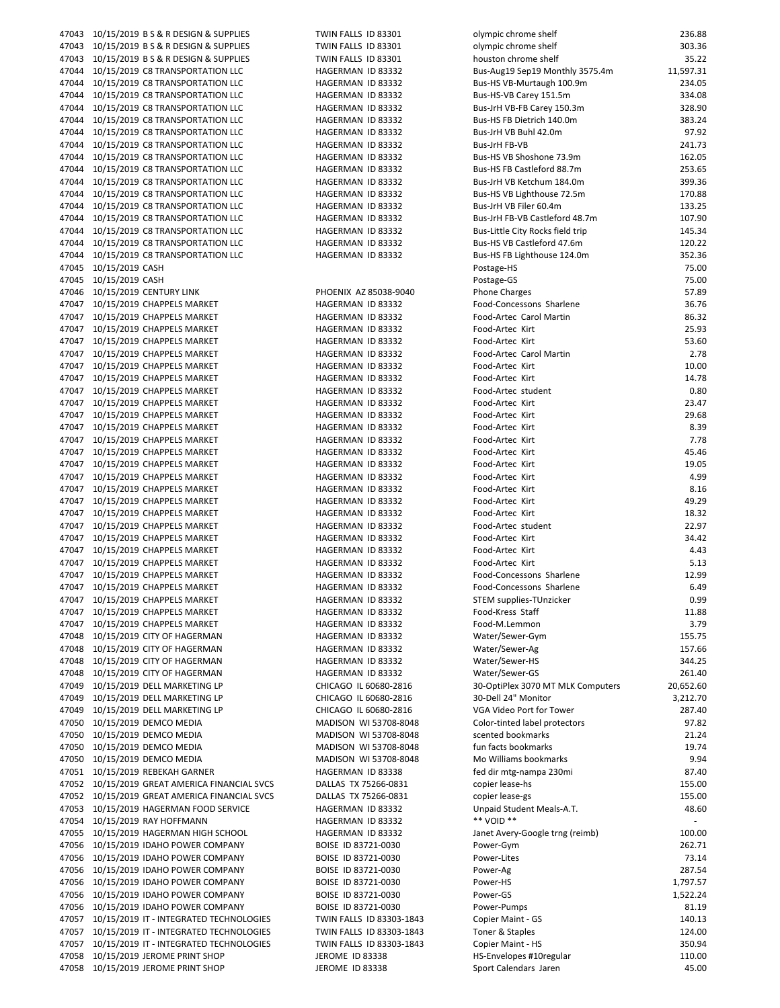| 47043 |                 | 10/15/2019 B S & R DESIGN & SUPPLIES    |
|-------|-----------------|-----------------------------------------|
| 47043 |                 | 10/15/2019 B S & R DESIGN & SUPPLIES    |
| 47043 |                 | 10/15/2019 B S & R DESIGN & SUPPLIES    |
| 47044 |                 | 10/15/2019 C8 TRANSPORTATION LLC        |
| 47044 |                 | 10/15/2019 C8 TRANSPORTATION LLC        |
| 47044 |                 | 10/15/2019 C8 TRANSPORTATION LLC        |
| 47044 |                 | 10/15/2019 C8 TRANSPORTATION LLC        |
| 47044 |                 | 10/15/2019 C8 TRANSPORTATION LLC        |
|       |                 |                                         |
| 47044 |                 | 10/15/2019 C8 TRANSPORTATION LLC        |
| 47044 |                 | 10/15/2019 C8 TRANSPORTATION LLC        |
| 47044 |                 | 10/15/2019 C8 TRANSPORTATION LLC        |
| 47044 |                 | 10/15/2019 C8 TRANSPORTATION LLC        |
| 47044 |                 | 10/15/2019 C8 TRANSPORTATION LLC        |
| 47044 |                 | 10/15/2019 C8 TRANSPORTATION LLC        |
| 47044 |                 | 10/15/2019 C8 TRANSPORTATION LLC        |
| 47044 |                 | 10/15/2019 C8 TRANSPORTATION LLC        |
| 47044 |                 | 10/15/2019 C8 TRANSPORTATION LLC        |
| 47044 |                 | 10/15/2019 C8 TRANSPORTATION LLC        |
| 47044 |                 | 10/15/2019 C8 TRANSPORTATION LLC        |
| 47045 | 10/15/2019 CASH |                                         |
| 47045 | 10/15/2019 CASH |                                         |
| 47046 |                 | 10/15/2019 CENTURY LINK                 |
| 47047 |                 | 10/15/2019 CHAPPELS MARKET              |
| 47047 |                 | 10/15/2019 CHAPPELS MARKET              |
|       |                 |                                         |
| 47047 |                 | 10/15/2019 CHAPPELS MARKET              |
| 47047 |                 | 10/15/2019 CHAPPELS MARKET              |
| 47047 |                 | 10/15/2019 CHAPPELS MARKET              |
| 47047 |                 | 10/15/2019 CHAPPELS MARKET              |
| 47047 |                 | 10/15/2019 CHAPPELS MARKET              |
| 47047 |                 | 10/15/2019 CHAPPELS MARKET              |
| 47047 |                 | 10/15/2019 CHAPPELS MARKET              |
| 47047 |                 | 10/15/2019 CHAPPELS MARKET              |
| 47047 |                 | 10/15/2019 CHAPPELS MARKET              |
| 47047 |                 | 10/15/2019 CHAPPELS MARKET              |
| 47047 |                 | 10/15/2019 CHAPPELS MARKET              |
| 47047 |                 | 10/15/2019 CHAPPELS MARKET              |
| 47047 |                 | 10/15/2019 CHAPPELS MARKET              |
| 47047 |                 | 10/15/2019 CHAPPELS MARKET              |
| 47047 |                 | 10/15/2019 CHAPPELS MARKET              |
| 47047 |                 | 10/15/2019 CHAPPELS MARKET              |
|       |                 |                                         |
| 47047 |                 | 10/15/2019 CHAPPELS MARKET              |
| 47047 |                 | 10/15/2019 CHAPPELS MARKET              |
| 47047 |                 | 10/15/2019 CHAPPELS MARKET              |
| 47047 |                 | 10/15/2019 CHAPPELS MARKET              |
| 47047 |                 | 10/15/2019 CHAPPELS MARKET              |
| 47047 |                 | 10/15/2019 CHAPPELS MARKET              |
| 47047 |                 | 10/15/2019 CHAPPELS MARKET              |
| 47047 |                 | 10/15/2019 CHAPPELS MARKET              |
| 47047 |                 | 10/15/2019 CHAPPELS MARKET              |
| 47048 |                 | 10/15/2019 CITY OF HAGERMAN             |
| 47048 |                 | 10/15/2019 CITY OF HAGERMAN             |
| 47048 |                 | 10/15/2019 CITY OF HAGERMAN             |
| 47048 |                 | 10/15/2019 CITY OF HAGERMAN             |
| 47049 |                 | 10/15/2019 DELL MARKETING LP            |
| 47049 |                 | 10/15/2019 DELL MARKETING LP            |
| 47049 |                 | 10/15/2019 DELL MARKETING LP            |
| 47050 |                 | 10/15/2019 DEMCO MEDIA                  |
| 47050 |                 | 10/15/2019 DEMCO MEDIA                  |
|       |                 |                                         |
| 47050 |                 | 10/15/2019 DEMCO MEDIA                  |
| 47050 |                 | 10/15/2019 DEMCO MEDIA                  |
| 47051 |                 | 10/15/2019 REBEKAH GARNER               |
| 47052 |                 | 10/15/2019 GREAT AMERICA FINANCIAL SVCS |
| 47052 |                 | 10/15/2019 GREAT AMERICA FINANCIAL SVCS |
| 47053 |                 | 10/15/2019 HAGERMAN FOOD SERVICE        |
| 47054 |                 | 10/15/2019 RAY HOFFMANN                 |
| 47055 |                 | 10/15/2019 HAGERMAN HIGH SCHOOL         |
| 47056 |                 | 10/15/2019 IDAHO POWER COMPANY          |
| 47056 |                 | 10/15/2019 IDAHO POWER COMPANY          |
| 47056 |                 | 10/15/2019 IDAHO POWER COMPANY          |
| 47056 |                 | 10/15/2019 IDAHO POWER COMPANY          |
| 47056 |                 | 10/15/2019 IDAHO POWER COMPANY          |
| 47056 |                 | 10/15/2019 IDAHO POWER COMPANY          |
| 47057 |                 | 10/15/2019 IT - INTEGRATED TECHNOLOGIES |
| 47057 |                 | 10/15/2019 IT - INTEGRATED TECHNOLOGIES |
| 47057 |                 | 10/15/2019 IT - INTEGRATED TECHNOLOGIES |
| 47058 |                 | 10/15/2019 JEROME PRINT SHOP            |
|       |                 |                                         |
| 47058 |                 | 10/15/2019 JEROME PRINT SHOP            |

| <b>TWIN FALLS</b><br>ID 83301                         |
|-------------------------------------------------------|
| TWIN FALLS<br>ID 83301                                |
| TWIN FALLS<br>ID 83301<br><b>HAGERMAN</b><br>ID 83332 |
| HAGERMAN<br>ID 83332                                  |
| HAGERMAN<br>ID 83332                                  |
| <b>HAGERMAN</b><br>ID 83332                           |
| HAGERMAN<br>ID 83332                                  |
| HAGERMAN<br>ID 83332                                  |
| HAGERMAN<br>ID 83332                                  |
| ID 83332<br>HAGERMAN                                  |
| <b>HAGERMAN</b><br>ID 83332                           |
| HAGERMAN<br>ID 83332<br><b>HAGERMAN</b>               |
| ID 83332<br><b>HAGERMAN</b><br>ID 83332               |
| HAGERMAN<br>ID 83332                                  |
| HAGERMAN<br>ID 83332                                  |
| HAGERMAN<br>ID 83332                                  |
| HAGERMAN<br>ID 83332                                  |
|                                                       |
|                                                       |
| PHOENIX AZ 85038-9040                                 |
| HAGERMAN<br>ID 83332                                  |
| HAGERMAN<br>ID 83332                                  |
| HAGERMAN<br>ID 83332                                  |
| HAGERMAN<br>ID 83332                                  |
| HAGERMAN<br>ID 83332<br>HAGERMAN<br>ID 83332          |
| HAGERMAN<br>ID 83332                                  |
| HAGERMAN<br>ID 83332                                  |
| HAGERMAN<br>ID 83332                                  |
| HAGERMAN<br>ID 83332                                  |
| HAGERMAN<br>ID 83332                                  |
| HAGERMAN<br>ID 83332                                  |
| HAGERMAN<br>ID 83332                                  |
| HAGERMAN<br>ID 83332                                  |
| HAGERMAN<br>ID 83332                                  |
| HAGERMAN<br>ID 83332                                  |
| HAGERMAN<br>ID 83332<br>HAGERMAN<br>ID 83332          |
| HAGERMAN<br>ID 83332                                  |
| HAGERMAN<br>ID 83332                                  |
| HAGERMAN<br>ID 83332                                  |
| HAGERMAN<br>ID 83332                                  |
| HAGERMAN<br>ID 83332                                  |
| HAGERMAN<br>ID 83332                                  |
| HAGERMAN<br>ID 83332                                  |
| HAGERMAN ID 83332                                     |
| HAGERMAN ID 83332                                     |
| HAGERMAN ID 83332                                     |
| HAGERMAN ID 83332<br>HAGERMAN ID 83332                |
| HAGERMAN ID 83332                                     |
| CHICAGO IL 60680-2816                                 |
| CHICAGO IL 60680-2816                                 |
| CHICAGO IL 60680-2816                                 |
| MADISON WI 53708-8048                                 |
| MADISON WI 53708-8048                                 |
| MADISON WI 53708-8048                                 |
| MADISON WI 53708-8048                                 |
| HAGERMAN ID 83338<br>DALLAS TX 75266-0831             |
| DALLAS TX 75266-0831                                  |
| HAGERMAN ID 83332                                     |
| HAGERMAN ID 83332                                     |
| HAGERMAN ID 83332                                     |
| BOISE ID 83721-0030                                   |
| BOISE ID 83721-0030                                   |
| BOISE ID 83721-0030                                   |
| BOISE ID 83721-0030                                   |
| BOISE ID 83721-0030                                   |
| BOISE ID 83721-0030                                   |
| TWIN FALLS ID 83303-1843                              |
| TWIN FALLS ID 83303-1843<br>TWIN FALLS ID 83303-1843  |
| JEROME ID 83338                                       |
| JEROME ID 83338                                       |
|                                                       |

|       |                                               | TWIN FALLS ID 83301      | olympic chrome shelf              | 236.88    |
|-------|-----------------------------------------------|--------------------------|-----------------------------------|-----------|
|       | 47043 10/15/2019 BS & R DESIGN & SUPPLIES     | TWIN FALLS ID 83301      | olympic chrome shelf              | 303.36    |
|       | 47043 10/15/2019 BS & R DESIGN & SUPPLIES     | TWIN FALLS ID 83301      | houston chrome shelf              | 35.22     |
|       | 47044 10/15/2019 C8 TRANSPORTATION LLC        | HAGERMAN ID 83332        | Bus-Aug19 Sep19 Monthly 3575.4m   | 11,597.31 |
|       |                                               |                          |                                   | 234.05    |
|       | 47044 10/15/2019 C8 TRANSPORTATION LLC        | HAGERMAN ID 83332        | Bus-HS VB-Murtaugh 100.9m         |           |
|       | 47044 10/15/2019 C8 TRANSPORTATION LLC        | HAGERMAN ID 83332        | Bus-HS-VB Carey 151.5m            | 334.08    |
|       | 47044 10/15/2019 C8 TRANSPORTATION LLC        | HAGERMAN ID 83332        | Bus-JrH VB-FB Carey 150.3m        | 328.90    |
|       | 47044 10/15/2019 C8 TRANSPORTATION LLC        | HAGERMAN ID 83332        | Bus-HS FB Dietrich 140.0m         | 383.24    |
|       | 47044 10/15/2019 C8 TRANSPORTATION LLC        | HAGERMAN ID 83332        | Bus-JrH VB Buhl 42.0m             | 97.92     |
|       | 47044 10/15/2019 C8 TRANSPORTATION LLC        | HAGERMAN ID 83332        | Bus-JrH FB-VB                     | 241.73    |
|       | 47044 10/15/2019 C8 TRANSPORTATION LLC        | HAGERMAN ID 83332        | Bus-HS VB Shoshone 73.9m          | 162.05    |
|       | 47044 10/15/2019 C8 TRANSPORTATION LLC        |                          | Bus-HS FB Castleford 88.7m        | 253.65    |
|       |                                               | HAGERMAN ID 83332        |                                   |           |
|       | 47044 10/15/2019 C8 TRANSPORTATION LLC        | HAGERMAN ID 83332        | Bus-JrH VB Ketchum 184.0m         | 399.36    |
|       | 47044 10/15/2019 C8 TRANSPORTATION LLC        | HAGERMAN ID 83332        | Bus-HS VB Lighthouse 72.5m        | 170.88    |
|       | 47044 10/15/2019 C8 TRANSPORTATION LLC        | HAGERMAN ID 83332        | Bus-JrH VB Filer 60.4m            | 133.25    |
|       | 47044 10/15/2019 C8 TRANSPORTATION LLC        | HAGERMAN ID 83332        | Bus-JrH FB-VB Castleford 48.7m    | 107.90    |
|       | 47044 10/15/2019 C8 TRANSPORTATION LLC        | HAGERMAN ID 83332        | Bus-Little City Rocks field trip  | 145.34    |
|       | 47044 10/15/2019 C8 TRANSPORTATION LLC        | HAGERMAN ID 83332        | Bus-HS VB Castleford 47.6m        | 120.22    |
|       |                                               |                          |                                   | 352.36    |
|       | 47044 10/15/2019 C8 TRANSPORTATION LLC        | HAGERMAN ID 83332        | Bus-HS FB Lighthouse 124.0m       |           |
|       | 47045 10/15/2019 CASH                         |                          | Postage-HS                        | 75.00     |
|       | 47045 10/15/2019 CASH                         |                          | Postage-GS                        | 75.00     |
|       | 47046 10/15/2019 CENTURY LINK                 | PHOENIX AZ 85038-9040    | <b>Phone Charges</b>              | 57.89     |
|       | 47047 10/15/2019 CHAPPELS MARKET              | HAGERMAN ID 83332        | Food-Concessons Sharlene          | 36.76     |
|       |                                               | HAGERMAN ID 83332        | Food-Artec Carol Martin           | 86.32     |
|       | 47047 10/15/2019 CHAPPELS MARKET              | HAGERMAN ID 83332        | Food-Artec Kirt                   | 25.93     |
|       |                                               |                          |                                   |           |
|       |                                               | HAGERMAN ID 83332        | Food-Artec Kirt                   | 53.60     |
|       | 47047 10/15/2019 CHAPPELS MARKET              | HAGERMAN ID 83332        | Food-Artec Carol Martin           | 2.78      |
|       | 47047 10/15/2019 CHAPPELS MARKET              | HAGERMAN ID 83332        | Food-Artec Kirt                   | 10.00     |
|       | 47047 10/15/2019 CHAPPELS MARKET              | HAGERMAN ID 83332        | Food-Artec Kirt                   | 14.78     |
|       | 47047 10/15/2019 CHAPPELS MARKET              | HAGERMAN ID 83332        | Food-Artec student                | 0.80      |
|       |                                               | HAGERMAN ID 83332        | Food-Artec Kirt                   | 23.47     |
|       |                                               |                          |                                   |           |
|       |                                               | HAGERMAN ID 83332        | Food-Artec Kirt                   | 29.68     |
|       | 47047 10/15/2019 CHAPPELS MARKET              | HAGERMAN ID 83332        | Food-Artec Kirt                   | 8.39      |
|       | 47047 10/15/2019 CHAPPELS MARKET              | HAGERMAN ID 83332        | Food-Artec Kirt                   | 7.78      |
|       |                                               | HAGERMAN ID 83332        | Food-Artec Kirt                   | 45.46     |
|       |                                               | HAGERMAN ID 83332        | Food-Artec Kirt                   | 19.05     |
|       | 47047 10/15/2019 CHAPPELS MARKET              | HAGERMAN ID 83332        | Food-Artec Kirt                   | 4.99      |
|       |                                               |                          |                                   |           |
|       | 47047 10/15/2019 CHAPPELS MARKET              | HAGERMAN ID 83332        | Food-Artec Kirt                   | 8.16      |
|       |                                               | HAGERMAN ID 83332        | Food-Artec Kirt                   | 49.29     |
|       | 47047 10/15/2019 CHAPPELS MARKET              | HAGERMAN ID 83332        | Food-Artec Kirt                   | 18.32     |
|       | 47047 10/15/2019 CHAPPELS MARKET              | HAGERMAN ID 83332        | Food-Artec student                | 22.97     |
|       | 47047 10/15/2019 CHAPPELS MARKET              | HAGERMAN ID 83332        | Food-Artec Kirt                   | 34.42     |
|       |                                               | HAGERMAN ID 83332        | Food-Artec Kirt                   | 4.43      |
|       |                                               | HAGERMAN ID 83332        | Food-Artec Kirt                   | 5.13      |
|       |                                               |                          |                                   |           |
|       |                                               | HAGERMAN ID 83332        | Food-Concessons Sharlene          | 12.99     |
|       |                                               | HAGERMAN ID 83332        | Food-Concessons Sharlene          | 6.49      |
| 47047 | 10/15/2019 CHAPPELS MARKET                    | HAGERMAN ID 83332        | STEM supplies-TUnzicker           | 0.99      |
|       | 47047 10/15/2019 CHAPPELS MARKET              | HAGERMAN ID 83332        | Food-Kress Staff                  | 11.88     |
| 47047 | 10/15/2019 CHAPPELS MARKET                    | HAGERMAN ID 83332        | Food-M.Lemmon                     | 3.79      |
|       | 47048 10/15/2019 CITY OF HAGERMAN             | HAGERMAN ID 83332        | Water/Sewer-Gym                   | 155.75    |
|       | 47048  10/15/2019 CITY OF HAGERMAN            | HAGERMAN ID 83332        | Water/Sewer-Ag                    | 157.66    |
|       |                                               |                          |                                   |           |
|       | 47048 10/15/2019 CITY OF HAGERMAN             | HAGERMAN ID 83332        | Water/Sewer-HS                    | 344.25    |
|       | 47048 10/15/2019 CITY OF HAGERMAN             | HAGERMAN ID 83332        | Water/Sewer-GS                    | 261.40    |
| 47049 | 10/15/2019 DELL MARKETING LP                  | CHICAGO IL 60680-2816    | 30-OptiPlex 3070 MT MLK Computers | 20,652.60 |
| 47049 | 10/15/2019 DELL MARKETING LP                  | CHICAGO IL 60680-2816    | 30-Dell 24" Monitor               | 3,212.70  |
|       | 47049 10/15/2019 DELL MARKETING LP            | CHICAGO IL 60680-2816    | VGA Video Port for Tower          | 287.40    |
|       | 47050 10/15/2019 DEMCO MEDIA                  | MADISON WI 53708-8048    | Color-tinted label protectors     | 97.82     |
| 47050 | 10/15/2019 DEMCO MEDIA                        | MADISON WI 53708-8048    | scented bookmarks                 | 21.24     |
|       |                                               |                          |                                   |           |
|       | 47050 10/15/2019 DEMCO MEDIA                  | MADISON WI 53708-8048    | fun facts bookmarks               | 19.74     |
|       | 47050 10/15/2019 DEMCO MEDIA                  | MADISON WI 53708-8048    | Mo Williams bookmarks             | 9.94      |
|       | 47051 10/15/2019 REBEKAH GARNER               | HAGERMAN ID 83338        | fed dir mtg-nampa 230mi           | 87.40     |
|       | 47052 10/15/2019 GREAT AMERICA FINANCIAL SVCS | DALLAS TX 75266-0831     | copier lease-hs                   | 155.00    |
|       | 47052 10/15/2019 GREAT AMERICA FINANCIAL SVCS | DALLAS TX 75266-0831     | copier lease-gs                   | 155.00    |
|       | 47053 10/15/2019 HAGERMAN FOOD SERVICE        | HAGERMAN ID 83332        | Unpaid Student Meals-A.T.         | 48.60     |
|       |                                               |                          | ** VOID **                        |           |
| 47054 | 10/15/2019 RAY HOFFMANN                       | HAGERMAN ID 83332        |                                   |           |
|       | 47055 10/15/2019 HAGERMAN HIGH SCHOOL         | HAGERMAN ID 83332        | Janet Avery-Google trng (reimb)   | 100.00    |
|       | 47056 10/15/2019 IDAHO POWER COMPANY          | BOISE ID 83721-0030      | Power-Gym                         | 262.71    |
|       | 47056 10/15/2019 IDAHO POWER COMPANY          | BOISE ID 83721-0030      | Power-Lites                       | 73.14     |
|       | 47056 10/15/2019 IDAHO POWER COMPANY          | BOISE ID 83721-0030      | Power-Ag                          | 287.54    |
|       | 47056 10/15/2019 IDAHO POWER COMPANY          | BOISE ID 83721-0030      | Power-HS                          | 1,797.57  |
|       | 47056 10/15/2019 IDAHO POWER COMPANY          | BOISE ID 83721-0030      | Power-GS                          | 1,522.24  |
|       |                                               |                          |                                   |           |
|       | 47056 10/15/2019 IDAHO POWER COMPANY          | BOISE ID 83721-0030      | Power-Pumps                       | 81.19     |
| 47057 | 10/15/2019 IT - INTEGRATED TECHNOLOGIES       | TWIN FALLS ID 83303-1843 | Copier Maint - GS                 | 140.13    |
| 47057 | 10/15/2019 IT - INTEGRATED TECHNOLOGIES       | TWIN FALLS ID 83303-1843 | Toner & Staples                   | 124.00    |
| 47057 | 10/15/2019 IT - INTEGRATED TECHNOLOGIES       | TWIN FALLS ID 83303-1843 | Copier Maint - HS                 | 350.94    |
| 47058 | 10/15/2019 JEROME PRINT SHOP                  | JEROME ID 83338          | HS-Envelopes #10regular           | 110.00    |
|       | 47058 10/15/2019 JEROME PRINT SHOP            | JEROME ID 83338          | Sport Calendars Jaren             | 45.00     |
|       |                                               |                          |                                   |           |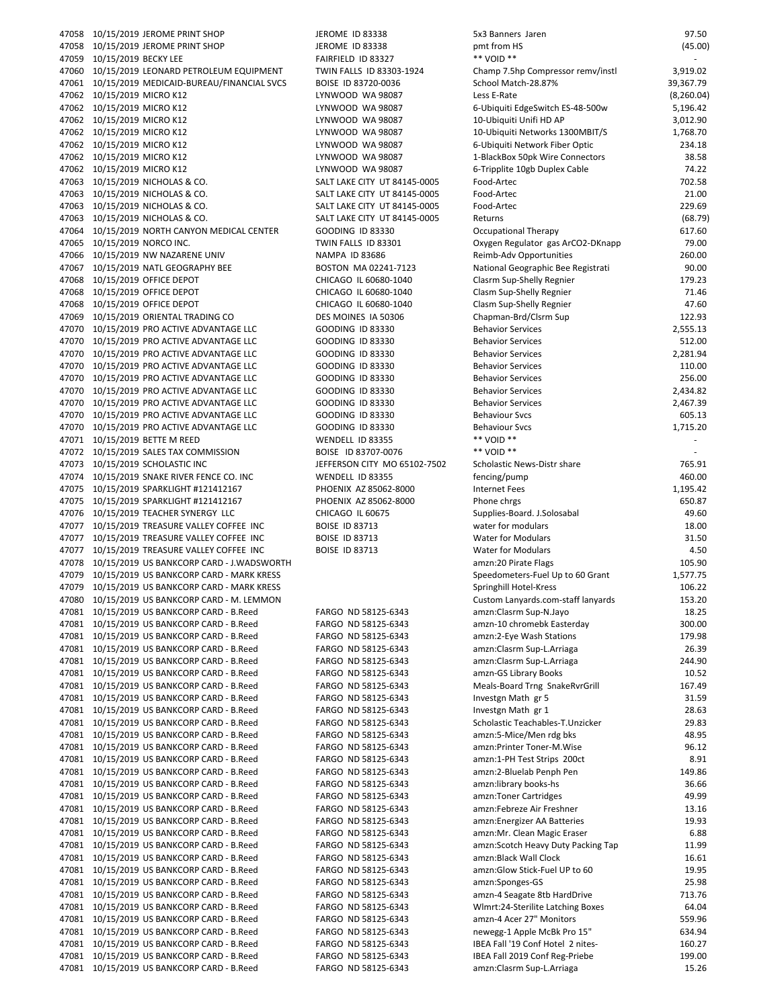47058 10/15/2019 JEROME PRINT SHOP JEROME ID 83338 5.50 47058 10/15/2019 JEROME PRINT SHOP JEROME ID 83338 pm 47059 10/15/2019 BECKY LEE FAIRFIELD ID 83327 47060 10/15/2019 LEONARD PETROLEUM EQUIPMENT TWIN FALLS ID 83303-1924 C 47061 10/15/2019 MEDICAID‐BUREAU/FINANCIAL SVCS BOISE ID 83720‐0036 S 47062 10/15/2019 MICRO K12 LATE (8,260.000 LYNWOOD WA 98087 47062 10/15/2019 MICRO K12 LYNWOOD WA 98087 6 47062 10/15/2019 MICRO K12 LYNWOOD WA 98087 10 47062 10/15/2019 MICRO K12 LYNWOOD WA 98087 10 47062 10/15/2019 MICRO K12 LYNWOOD WA 98087 6 47062 10/15/2019 MICRO K12 LYNWOOD WA 98087 1 47062 10/15/2019 MICRO K12 LYNWOOD WA 98087 6 47063 10/15/2019 NICHOLAS & CO. SALT LAKE CITY UT 84145-0005 F 47063 10/15/2019 NICHOLAS & CO. SALT LAKE CITY UT 84145-0005 F 47063 10/15/2019 NICHOLAS & CO. SALT LAKE CITY UT 84145-0005 F 47063 10/15/2019 NICHOLAS & CO. SALT LAKE CITY UT 84145-0005 R 47064 10/15/2019 NORTH CANYON MEDICAL CENTER GOODING ID 83330 OCCUPATIONAL THERAPY OF SOCIAL THERAPY OF STATIONAL THERAPY OF STATIONAL THERAPY OF STATIONAL THERAPY OF STATIONAL THERAPY OF STATIONAL THERAPY OF STATIONAL THE 47065 10/15/2019 NORCO INC. TWIN FALLS ID 83301 OXYGEN REGULATOR OXYGEN REGULATOR O 47066 10/15/2019 NW NAZARENE UNIV NAMPA ID 83686 Reimber 47067 10/15/2019 NATL GEOGRAPHY BEE BOSTON MA 02241-7123 N 47068 10/15/2019 OFFICE DEPOT CHICAGO IL 60680-1040 C 47068 10/15/2019 OFFICE DEPOT CHICAGO IL 60680-1040 C 47068 10/15/2019 OFFICE DEPOT CHICAGO IL 60680-1040 C 47069 10/15/2019 ORIENTAL TRADING CO DES MOINES IA 50306 CHAPMAN CO 47070 10/15/2019 PRO ACTIVE ADVANTAGE LLC GOODING ID 83330 BEHAVIOR SERVICES 20 47070 10/15/2019 PRO ACTIVE ADVANTAGE LLC GOODING ID 83330 B 47070 10/15/2019 PRO ACTIVE ADVANTAGE LLC GOODING ID 83330 B 47070 10/15/2019 PRO ACTIVE ADVANTAGE LLC GOODING ID 83330 B 47070 10/15/2019 PRO ACTIVE ADVANTAGE LLC GOODING ID 83330 B 47070 10/15/2019 PRO ACTIVE ADVANTAGE LLC GOODING ID 83330 B 47070 10/15/2019 PRO ACTIVE ADVANTAGE LLC GOODING ID 83330 B 47070 10/15/2019 PRO ACTIVE ADVANTAGE LLC GOODING ID 83330 B 47070 10/15/2019 PRO ACTIVE ADVANTAGE LLC GOODING ID 83330 BEHAVIOUR SVES 1,715. 47071 10/15/2019 BETTE M REED WENDELL ID 83355 \*\* VOID \*\* ‐ 47072 10/15/2019 SALES TAX COMMISSION BOISE ID 83707-0076 47073 10/15/2019 SCHOLASTIC INC JEFFERSON CITY MO 65102-7502 S 47074 10/15/2019 SNAKE RIVER FENCE CO. INC WENDELL ID 83355 fe 47075 10/15/2019 SPARKLIGHT #121412167 PHOENIX AZ 85062-8000 In 47075 10/15/2019 SPARKLIGHT #121412167 PHOENIX AZ 85062-8000 P 47076 10/15/2019 TEACHER SYNERGY LLC CHICAGO IL 60675 SUPPLIES 47077 10/15/2019 TREASURE VALLEY COFFEE INC BOISE ID 83713 WATER 47077 10/15/2019 TREASURE VALLEY COFFEE INC BOISE ID 83713 WATER FOR MODEL IN MODEL IN MODEL IN MODEL IN MODEL 47077 10/15/2019 TREASURE VALLEY COFFEE INC BOISE ID 83713 WATER FOR MODULARS 4.500 WATER FOR MODEL ASSAULT MODEL IN 47078 10/15/2019 US BANKCORP CARD - J.WADSWORTH amazon: 20 Pirate Flags 105.900 Pirate Flags 10 47079 10/15/2019 US BANKCORP CARD - MARK KRESS SERVICES 47079 10/15/2019 US BANKCORP CARD - MARK KRESS S 47080 10/15/2019 US BANKCORP CARD ‐ M. LEMMON Custom Lanyards.com‐staff lanyards 153.20 47081 10/15/2019 US BANKCORP CARD - B.Reed FARGO ND 58125-6343 am 47081 10/15/2019 US BANKCORP CARD - B.Reed FARGO ND 58125-6343 am 47081 10/15/2019 US BANKCORP CARD - B.Reed FARGO ND 58125-6343 am 47081 10/15/2019 US BANKCORP CARD - B.Reed FARGO ND 58125-6343 am 47081 10/15/2019 US BANKCORP CARD - B.Reed FARGO ND 58125-6343 am 47081 10/15/2019 US BANKCORP CARD - B.Reed FARGO ND 58125-6343 am 47081 10/15/2019 US BANKCORP CARD - B.Reed FARGO ND 58125-6343 Meals 47081 10/15/2019 US BANKCORP CARD - B.Reed FARGO ND 58125-6343 In 47081 10/15/2019 US BANKCORP CARD - B.Reed FARGO ND 58125-6343 In 47081 10/15/2019 US BANKCORP CARD - B.Reed FARGO ND 58125-6343 S 47081 10/15/2019 US BANKCORP CARD - B.Reed FARGO ND 58125-6343 am 47081 10/15/2019 US BANKCORP CARD - B.Reed FARGO ND 58125-6343 am 47081 10/15/2019 US BANKCORP CARD - B.Reed FARGO ND 58125-6343 am 47081 10/15/2019 US BANKCORP CARD - B.Reed FARGO ND 58125-6343 am 47081 10/15/2019 US BANKCORP CARD - B.Reed FARGO ND 58125-6343 am 47081 10/15/2019 US BANKCORP CARD - B.Reed FARGO ND 58125-6343 am 47081 10/15/2019 US BANKCORP CARD - B.Reed FARGO ND 58125-6343 am 47081 10/15/2019 US BANKCORP CARD - B.Reed FARGO ND 58125-6343 amazon: 47081 10/15/2019 US BANKCORP CARD - B.Reed FARGO ND 58125-6343 am 47081 10/15/2019 US BANKCORP CARD - B.Reed FARGO ND 58125-6343 am 47081 10/15/2019 US BANKCORP CARD - B.Reed FARGO ND 58125-6343 amazon: Black Black & B 47081 10/15/2019 US BANKCORP CARD - B.Reed FARGO ND 58125-6343 am 47081 10/15/2019 US BANKCORP CARD - B.Reed FARGO ND 58125-6343 am 47081 10/15/2019 US BANKCORP CARD - B.Reed FARGO ND 58125-6343 am 47081 10/15/2019 US BANKCORP CARD - B.Reed FARGO ND 58125-6343 V 47081 10/15/2019 US BANKCORP CARD - B.Reed FARGO ND 58125-6343 am 47081 10/15/2019 US BANKCORP CARD - B.Reed FARGO ND 58125-6343 new 47081 10/15/2019 US BANKCORP CARD - B.Reed FARGO ND 58125-6343 IBEA FARGO IND 58125-6343 47081 10/15/2019 US BANKCORP CARD - B.Reed FARGO ND 58125-6343 IB 47081 10/15/2019 US BANKCORP CARD - B.Reed FARGO ND 58125-6343 am

| x3 Banners Jaren                                               | 97.50                |
|----------------------------------------------------------------|----------------------|
| mt from HS                                                     | (45.00)              |
| * VOID **                                                      |                      |
| hamp 7.5hp Compressor remv/instl                               | 3,919.02             |
| chool Match-28.87%                                             | 39,367.79            |
| ess E-Rate                                                     | (8,260.04)           |
| -Ubiquiti EdgeSwitch ES-48-500w                                | 5,196.42<br>3,012.90 |
| 0-Ubiquiti Unifi HD AP<br>0-Ubiquiti Networks 1300MBIT/S       | 1,768.70             |
| -Ubiquiti Network Fiber Optic                                  | 234.18               |
| -BlackBox 50pk Wire Connectors                                 | 38.58                |
| -Tripplite 10gb Duplex Cable                                   | 74.22                |
| ood-Artec                                                      | 702.58               |
| ood-Artec                                                      | 21.00                |
| ood-Artec                                                      | 229.69               |
| eturns                                                         | (68.79)              |
| ccupational Therapy                                            | 617.60               |
| xygen Regulator gas ArCO2-DKnapp                               | 79.00                |
| eimb-Adv Opportunities                                         | 260.00               |
| ational Geographic Bee Registrati                              | 90.00                |
| lasrm Sup-Shelly Regnier                                       | 179.23               |
| lasm Sup-Shelly Regnier                                        | 71.46                |
| lasm Sup-Shelly Regnier                                        | 47.60                |
| hapman-Brd/Clsrm Sup                                           | 122.93               |
| ehavior Services                                               | 2,555.13             |
| ehavior Services                                               | 512.00               |
| ehavior Services                                               | 2,281.94             |
| ehavior Services                                               | 110.00               |
| ehavior Services                                               | 256.00               |
| ehavior Services                                               | 2,434.82             |
| ehavior Services                                               | 2,467.39             |
| ehaviour Svcs                                                  | 605.13<br>1,715.20   |
| ehaviour Svcs<br>* VOID **                                     |                      |
| * VOID **                                                      |                      |
| cholastic News-Distr share                                     | 765.91               |
| encing/pump                                                    | 460.00               |
| ternet Fees                                                    | 1,195.42             |
| hone chrgs                                                     | 650.87               |
| upplies-Board. J.Solosabal                                     | 49.60                |
| ater for modulars                                              | 18.00                |
| Vater for Modulars                                             | 31.50                |
| Vater for Modulars                                             | 4.50                 |
| mzn:20 Pirate Flags                                            | 105.90               |
| peedometers-Fuel Up to 60 Grant                                | 1,577.75             |
| pringhill Hotel-Kress                                          | 106.22               |
| ustom Lanyards.com-staff lanyards                              | 153.20               |
| mzn:Clasrm Sup-N.Jayo                                          | 18.25                |
| mzn-10 chromebk Easterday                                      | 300.00               |
| mzn:2-Eye Wash Stations                                        | 179.98               |
| mzn:Clasrm Sup-L.Arriaga                                       | 26.39                |
| mzn:Clasrm Sup-L.Arriaga                                       | 244.90               |
| mzn-GS Library Books<br>leals-Board Trng SnakeRvrGrill         | 10.52<br>167.49      |
| ivestgn Math gr 5                                              | 31.59                |
| westgn Math gr 1                                               | 28.63                |
| cholastic Teachables-T.Unzicker                                | 29.83                |
| mzn:5-Mice/Men rdg bks                                         | 48.95                |
| mzn:Printer Toner-M.Wise                                       | 96.12                |
| mzn:1-PH Test Strips 200ct                                     | 8.91                 |
| mzn:2-Bluelab Penph Pen                                        | 149.86               |
| mzn:library books-hs                                           | 36.66                |
| mzn:Toner Cartridges                                           | 49.99                |
| mzn:Febreze Air Freshner                                       | 13.16                |
| mzn:Energizer AA Batteries                                     | 19.93                |
| mzn:Mr. Clean Magic Eraser                                     | 6.88                 |
| mzn:Scotch Heavy Duty Packing Tap                              | 11.99                |
| mzn:Black Wall Clock                                           | 16.61                |
| mzn:Glow Stick-Fuel UP to 60                                   | 19.95                |
| mzn:Sponges-GS                                                 | 25.98                |
| mzn-4 Seagate 8tb HardDrive                                    | 713.76               |
| /lmrt:24-Sterilite Latching Boxes                              | 64.04                |
| mzn-4 Acer 27" Monitors                                        | 559.96               |
| ewegg-1 Apple McBk Pro 15"<br>BEA Fall '19 Conf Hotel 2 nites- | 634.94<br>160.27     |
| BEA Fall 2019 Conf Reg-Priebe                                  | 199.00               |
| mzn:Clasrm Sup-L.Arriaga                                       | 15.26                |
|                                                                |                      |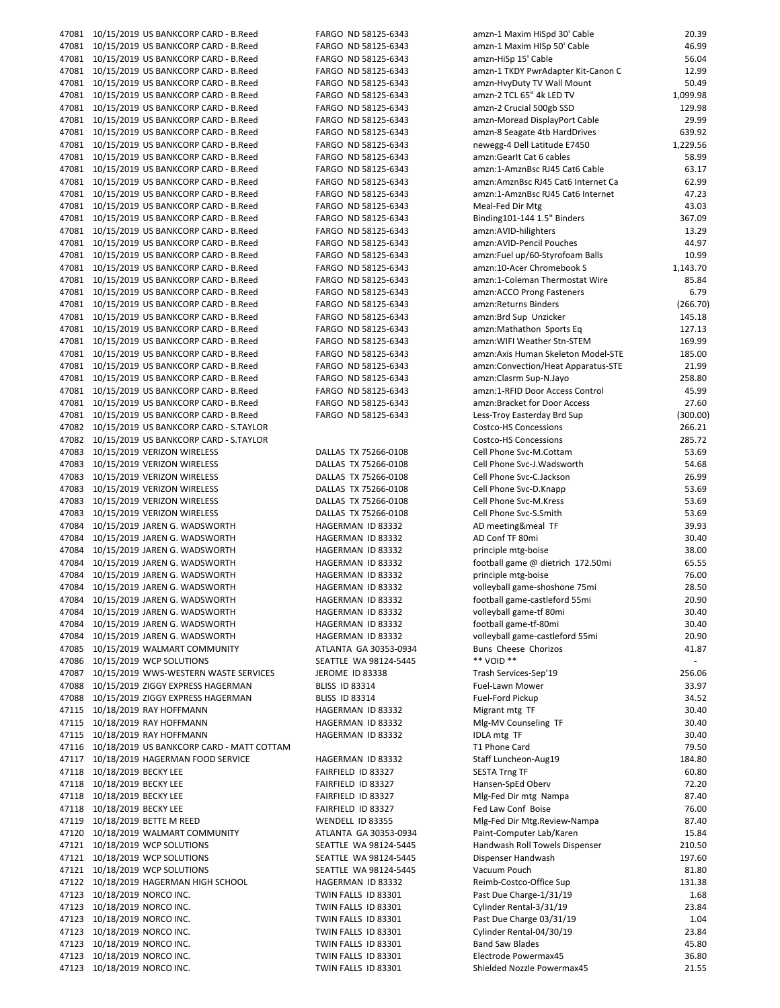|       | 47081 10/15/2019 US BANKCORP CARD - B.Reed           | FARGO ND 58125-6343                        | amzn-1 Maxim HiSpd 30' Cable                       | 20.39          |
|-------|------------------------------------------------------|--------------------------------------------|----------------------------------------------------|----------------|
|       | 47081 10/15/2019 US BANKCORP CARD - B.Reed           | FARGO ND 58125-6343                        | amzn-1 Maxim HISp 50' Cable                        | 46.99          |
|       | 47081 10/15/2019 US BANKCORP CARD - B.Reed           | FARGO ND 58125-6343                        | amzn-HiSp 15' Cable                                | 56.04          |
|       |                                                      |                                            | amzn-1 TKDY PwrAdapter Kit-Canon C                 | 12.99          |
|       | 47081 10/15/2019 US BANKCORP CARD - B.Reed           | FARGO ND 58125-6343                        |                                                    |                |
|       | 47081 10/15/2019 US BANKCORP CARD - B.Reed           | FARGO ND 58125-6343                        | amzn-HvyDuty TV Wall Mount                         | 50.49          |
|       | 47081 10/15/2019 US BANKCORP CARD - B.Reed           | FARGO ND 58125-6343                        | amzn-2 TCL 65" 4k LED TV                           | 1,099.98       |
|       | 47081 10/15/2019 US BANKCORP CARD - B.Reed           | FARGO ND 58125-6343                        | amzn-2 Crucial 500gb SSD                           | 129.98         |
|       | 47081 10/15/2019 US BANKCORP CARD - B.Reed           | FARGO ND 58125-6343                        | amzn-Moread DisplayPort Cable                      | 29.99          |
|       |                                                      |                                            |                                                    |                |
|       | 47081 10/15/2019 US BANKCORP CARD - B.Reed           | FARGO ND 58125-6343                        | amzn-8 Seagate 4tb HardDrives                      | 639.92         |
|       | 47081 10/15/2019 US BANKCORP CARD - B.Reed           | FARGO ND 58125-6343                        | newegg-4 Dell Latitude E7450                       | 1,229.56       |
|       | 47081 10/15/2019 US BANKCORP CARD - B.Reed           | FARGO ND 58125-6343                        | amzn:Gearlt Cat 6 cables                           | 58.99          |
|       | 47081 10/15/2019 US BANKCORP CARD - B.Reed           | FARGO ND 58125-6343                        | amzn:1-AmznBsc RJ45 Cat6 Cable                     | 63.17          |
|       |                                                      |                                            |                                                    |                |
|       | 47081 10/15/2019 US BANKCORP CARD - B.Reed           | FARGO ND 58125-6343                        | amzn:AmznBsc RJ45 Cat6 Internet Ca                 | 62.99          |
|       | 47081 10/15/2019 US BANKCORP CARD - B.Reed           | FARGO ND 58125-6343                        | amzn:1-AmznBsc RJ45 Cat6 Internet                  | 47.23          |
|       | 47081 10/15/2019 US BANKCORP CARD - B.Reed           | FARGO ND 58125-6343                        | Meal-Fed Dir Mtg                                   | 43.03          |
|       |                                                      |                                            |                                                    |                |
|       | 47081 10/15/2019 US BANKCORP CARD - B.Reed           | FARGO ND 58125-6343                        | Binding101-144 1.5" Binders                        | 367.09         |
|       | 47081 10/15/2019 US BANKCORP CARD - B.Reed           | FARGO ND 58125-6343                        | amzn:AVID-hilighters                               | 13.29          |
|       | 47081 10/15/2019 US BANKCORP CARD - B.Reed           | FARGO ND 58125-6343                        | amzn:AVID-Pencil Pouches                           | 44.97          |
|       | 47081 10/15/2019 US BANKCORP CARD - B.Reed           | FARGO ND 58125-6343                        | amzn:Fuel up/60-Styrofoam Balls                    | 10.99          |
|       |                                                      |                                            |                                                    |                |
|       | 47081 10/15/2019 US BANKCORP CARD - B.Reed           | FARGO ND 58125-6343                        | amzn:10-Acer Chromebook S                          | 1,143.70       |
|       | 47081 10/15/2019 US BANKCORP CARD - B.Reed           | FARGO ND 58125-6343                        | amzn:1-Coleman Thermostat Wire                     | 85.84          |
|       | 47081 10/15/2019 US BANKCORP CARD - B.Reed           | FARGO ND 58125-6343                        | amzn:ACCO Prong Fasteners                          | 6.79           |
|       | 47081 10/15/2019 US BANKCORP CARD - B.Reed           | FARGO ND 58125-6343                        | amzn: Returns Binders                              | (266.70)       |
|       |                                                      |                                            |                                                    |                |
|       | 47081 10/15/2019 US BANKCORP CARD - B.Reed           | FARGO ND 58125-6343                        | amzn:Brd Sup Unzicker                              | 145.18         |
|       | 47081 10/15/2019 US BANKCORP CARD - B.Reed           | FARGO ND 58125-6343                        | amzn:Mathathon Sports Eq                           | 127.13         |
|       | 47081 10/15/2019 US BANKCORP CARD - B.Reed           | FARGO ND 58125-6343                        | amzn: WIFI Weather Stn-STEM                        | 169.99         |
|       |                                                      |                                            | amzn: Axis Human Skeleton Model-STE                |                |
|       | 47081 10/15/2019 US BANKCORP CARD - B.Reed           | FARGO ND 58125-6343                        |                                                    | 185.00         |
|       | 47081 10/15/2019 US BANKCORP CARD - B.Reed           | FARGO ND 58125-6343                        | amzn:Convection/Heat Apparatus-STE                 | 21.99          |
|       | 47081 10/15/2019 US BANKCORP CARD - B.Reed           | FARGO ND 58125-6343                        | amzn:Clasrm Sup-N.Jayo                             | 258.80         |
|       | 47081 10/15/2019 US BANKCORP CARD - B.Reed           | FARGO ND 58125-6343                        | amzn:1-RFID Door Access Control                    | 45.99          |
|       |                                                      |                                            |                                                    |                |
|       | 47081 10/15/2019 US BANKCORP CARD - B.Reed           | FARGO ND 58125-6343                        | amzn:Bracket for Door Access                       | 27.60          |
|       | 47081 10/15/2019 US BANKCORP CARD - B.Reed           | FARGO ND 58125-6343                        | Less-Troy Easterday Brd Sup                        | (300.00)       |
|       | 47082 10/15/2019 US BANKCORP CARD - S.TAYLOR         |                                            | Costco-HS Concessions                              | 266.21         |
|       | 47082 10/15/2019 US BANKCORP CARD - S.TAYLOR         |                                            | <b>Costco-HS Concessions</b>                       | 285.72         |
|       |                                                      |                                            |                                                    |                |
|       | 47083 10/15/2019 VERIZON WIRELESS                    | DALLAS TX 75266-0108                       | Cell Phone Svc-M.Cottam                            | 53.69          |
|       | 47083 10/15/2019 VERIZON WIRELESS                    | DALLAS TX 75266-0108                       | Cell Phone Svc-J. Wadsworth                        | 54.68          |
| 47083 | 10/15/2019 VERIZON WIRELESS                          | DALLAS TX 75266-0108                       | Cell Phone Svc-C.Jackson                           | 26.99          |
|       |                                                      |                                            |                                                    | 53.69          |
|       | 47083 10/15/2019 VERIZON WIRELESS                    | DALLAS TX 75266-0108                       | Cell Phone Svc-D.Knapp                             |                |
| 47083 | 10/15/2019 VERIZON WIRELESS                          | DALLAS TX 75266-0108                       | Cell Phone Svc-M.Kress                             | 53.69          |
| 47083 | 10/15/2019 VERIZON WIRELESS                          | DALLAS TX 75266-0108                       | Cell Phone Svc-S.Smith                             | 53.69          |
| 47084 | 10/15/2019 JAREN G. WADSWORTH                        | HAGERMAN ID 83332                          | AD meeting&meal TF                                 | 39.93          |
|       |                                                      |                                            |                                                    |                |
|       | 47084 10/15/2019 JAREN G. WADSWORTH                  | HAGERMAN ID 83332                          | AD Conf TF 80mi                                    | 30.40          |
|       | 47084 10/15/2019 JAREN G. WADSWORTH                  | HAGERMAN ID 83332                          | principle mtg-boise                                | 38.00          |
| 47084 | 10/15/2019 JAREN G. WADSWORTH                        | HAGERMAN ID 83332                          | football game @ dietrich 172.50mi                  | 65.55          |
| 47084 |                                                      | HAGERMAN ID 83332                          | principle mtg-boise                                | 76.00          |
|       | 10/15/2019 JAREN G. WADSWORTH                        |                                            |                                                    |                |
|       | 47084 10/15/2019 JAREN G. WADSWORTH                  | HAGERMAN ID 83332                          | volleyball game-shoshone 75mi                      | 28.50          |
|       | 47084 10/15/2019 JAREN G. WADSWORTH                  | HAGERMAN ID 83332                          | football game-castleford 55mi                      | 20.90          |
| 47084 | 10/15/2019 JAREN G. WADSWORTH                        | HAGERMAN ID 83332                          | volleyball game-tf 80mi                            | 30.40          |
|       |                                                      |                                            |                                                    |                |
| 47084 | 10/15/2019 JAREN G. WADSWORTH                        | HAGERMAN ID 83332                          | football game-tf-80mi                              | 30.40          |
| 47084 | 10/15/2019 JAREN G. WADSWORTH                        | HAGERMAN ID 83332                          | volleyball game-castleford 55mi                    |                |
|       |                                                      |                                            |                                                    | 20.90          |
| 47086 | 47085 10/15/2019 WALMART COMMUNITY                   |                                            |                                                    |                |
|       |                                                      | ATLANTA GA 30353-0934                      | Buns Cheese Chorizos                               | 41.87          |
|       | 10/15/2019 WCP SOLUTIONS                             | SEATTLE WA 98124-5445                      | ** VOID **                                         | $\sim$         |
| 47087 | 10/15/2019 WWS-WESTERN WASTE SERVICES                | JEROME ID 83338                            | Trash Services-Sep'19                              | 256.06         |
| 47088 | 10/15/2019 ZIGGY EXPRESS HAGERMAN                    | <b>BLISS ID 83314</b>                      | Fuel-Lawn Mower                                    | 33.97          |
| 47088 |                                                      |                                            | Fuel-Ford Pickup                                   | 34.52          |
|       | 10/15/2019 ZIGGY EXPRESS HAGERMAN                    | BLISS ID 83314                             |                                                    |                |
|       | 47115 10/18/2019 RAY HOFFMANN                        | HAGERMAN ID 83332                          | Migrant mtg TF                                     | 30.40          |
|       | 47115 10/18/2019 RAY HOFFMANN                        | HAGERMAN ID 83332                          | Mlg-MV Counseling TF                               | 30.40          |
|       | 47115 10/18/2019 RAY HOFFMANN                        | HAGERMAN ID 83332                          | <b>IDLA mtg TF</b>                                 | 30.40          |
|       |                                                      |                                            |                                                    |                |
|       | 47116 10/18/2019 US BANKCORP CARD - MATT COTTAM      |                                            | T1 Phone Card                                      | 79.50          |
|       | 47117 10/18/2019 HAGERMAN FOOD SERVICE               | HAGERMAN ID 83332                          | Staff Luncheon-Aug19                               | 184.80         |
|       | 47118 10/18/2019 BECKY LEE                           | FAIRFIELD ID 83327                         | <b>SESTA Trng TF</b>                               | 60.80          |
|       | 47118 10/18/2019 BECKY LEE                           | FAIRFIELD ID 83327                         | Hansen-SpEd Oberv                                  | 72.20          |
|       |                                                      |                                            |                                                    |                |
| 47118 | 10/18/2019 BECKY LEE                                 | FAIRFIELD ID 83327                         | Mlg-Fed Dir mtg Nampa                              | 87.40          |
|       | 47118 10/18/2019 BECKY LEE                           | FAIRFIELD ID 83327                         | Fed Law Conf Boise                                 | 76.00          |
|       | 47119 10/18/2019 BETTE M REED                        | WENDELL ID 83355                           | Mlg-Fed Dir Mtg.Review-Nampa                       | 87.40          |
|       | 47120 10/18/2019 WALMART COMMUNITY                   |                                            | Paint-Computer Lab/Karen                           | 15.84          |
|       |                                                      | ATLANTA GA 30353-0934                      |                                                    |                |
|       | 47121 10/18/2019 WCP SOLUTIONS                       | SEATTLE WA 98124-5445                      | Handwash Roll Towels Dispenser                     | 210.50         |
|       | 47121 10/18/2019 WCP SOLUTIONS                       | SEATTLE WA 98124-5445                      | Dispenser Handwash                                 | 197.60         |
|       | 47121 10/18/2019 WCP SOLUTIONS                       | SEATTLE WA 98124-5445                      | Vacuum Pouch                                       | 81.80          |
|       |                                                      |                                            |                                                    |                |
|       | 47122 10/18/2019 HAGERMAN HIGH SCHOOL                | HAGERMAN ID 83332                          | Reimb-Costco-Office Sup                            | 131.38         |
|       | 47123 10/18/2019 NORCO INC.                          | TWIN FALLS ID 83301                        | Past Due Charge-1/31/19                            | 1.68           |
|       | 47123 10/18/2019 NORCO INC.                          | TWIN FALLS ID 83301                        | Cylinder Rental-3/31/19                            | 23.84          |
|       | 47123 10/18/2019 NORCO INC.                          | TWIN FALLS ID 83301                        | Past Due Charge 03/31/19                           | 1.04           |
|       |                                                      |                                            |                                                    |                |
|       | 47123 10/18/2019 NORCO INC.                          | TWIN FALLS ID 83301                        | Cylinder Rental-04/30/19                           | 23.84          |
|       | 47123 10/18/2019 NORCO INC.                          | TWIN FALLS ID 83301                        | <b>Band Saw Blades</b>                             | 45.80          |
| 47123 | 10/18/2019 NORCO INC.<br>47123 10/18/2019 NORCO INC. | TWIN FALLS ID 83301<br>TWIN FALLS ID 83301 | Electrode Powermax45<br>Shielded Nozzle Powermax45 | 36.80<br>21.55 |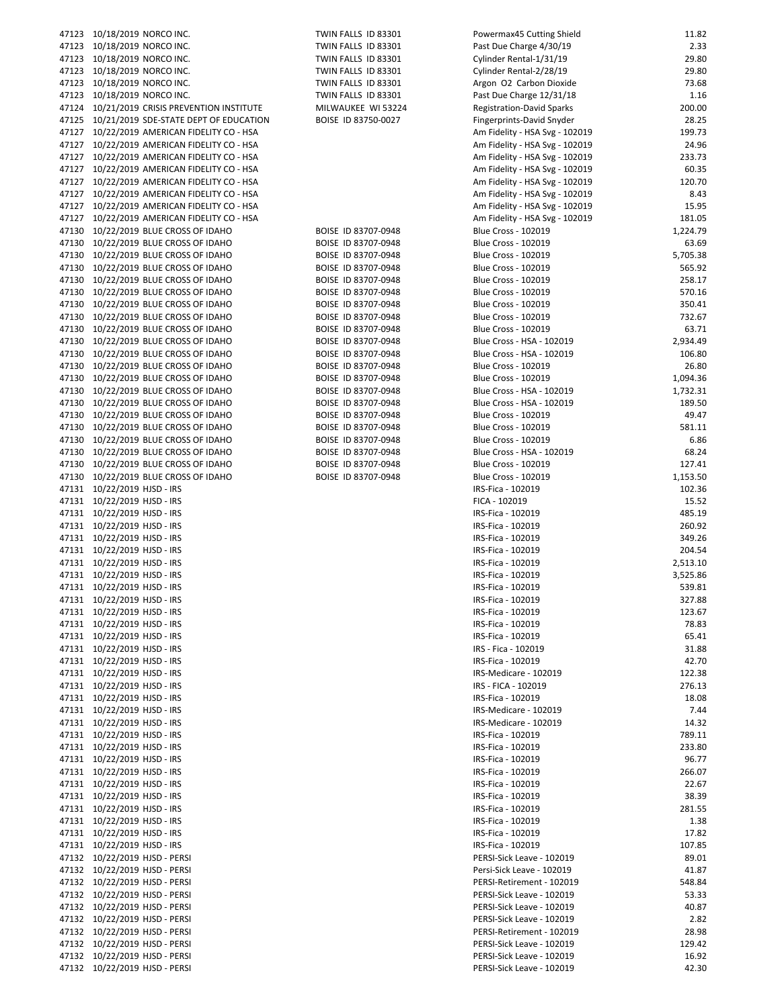| 47123 10/18/2019 NORCO INC.                  | TWIN FALLS ID 83301 | Powermax45 Cutting Shield        | 11.82    |
|----------------------------------------------|---------------------|----------------------------------|----------|
| 47123 10/18/2019 NORCO INC.                  | TWIN FALLS ID 83301 | Past Due Charge 4/30/19          | 2.33     |
|                                              |                     |                                  | 29.80    |
| 47123 10/18/2019 NORCO INC.                  | TWIN FALLS ID 83301 | Cylinder Rental-1/31/19          |          |
| 47123 10/18/2019 NORCO INC.                  | TWIN FALLS ID 83301 | Cylinder Rental-2/28/19          | 29.80    |
| 47123 10/18/2019 NORCO INC.                  | TWIN FALLS ID 83301 | Argon O2 Carbon Dioxide          | 73.68    |
| 47123 10/18/2019 NORCO INC.                  | TWIN FALLS ID 83301 | Past Due Charge 12/31/18         | 1.16     |
| 47124 10/21/2019 CRISIS PREVENTION INSTITUTE | MILWAUKEE WI 53224  | <b>Registration-David Sparks</b> | 200.00   |
| 47125 10/21/2019 SDE-STATE DEPT OF EDUCATION | BOISE ID 83750-0027 | Fingerprints-David Snyder        | 28.25    |
| 47127 10/22/2019 AMERICAN FIDELITY CO - HSA  |                     | Am Fidelity - HSA Svg - 102019   | 199.73   |
| 47127 10/22/2019 AMERICAN FIDELITY CO - HSA  |                     | Am Fidelity - HSA Svg - 102019   | 24.96    |
| 47127 10/22/2019 AMERICAN FIDELITY CO - HSA  |                     | Am Fidelity - HSA Svg - 102019   | 233.73   |
| 47127 10/22/2019 AMERICAN FIDELITY CO - HSA  |                     | Am Fidelity - HSA Svg - 102019   | 60.35    |
|                                              |                     |                                  |          |
| 47127 10/22/2019 AMERICAN FIDELITY CO - HSA  |                     | Am Fidelity - HSA Svg - 102019   | 120.70   |
| 47127 10/22/2019 AMERICAN FIDELITY CO - HSA  |                     | Am Fidelity - HSA Svg - 102019   | 8.43     |
| 47127 10/22/2019 AMERICAN FIDELITY CO - HSA  |                     | Am Fidelity - HSA Svg - 102019   | 15.95    |
| 47127 10/22/2019 AMERICAN FIDELITY CO - HSA  |                     | Am Fidelity - HSA Svg - 102019   | 181.05   |
| 47130 10/22/2019 BLUE CROSS OF IDAHO         | BOISE ID 83707-0948 | <b>Blue Cross - 102019</b>       | 1,224.79 |
| 47130 10/22/2019 BLUE CROSS OF IDAHO         | BOISE ID 83707-0948 | <b>Blue Cross - 102019</b>       | 63.69    |
| 47130 10/22/2019 BLUE CROSS OF IDAHO         | BOISE ID 83707-0948 | <b>Blue Cross - 102019</b>       | 5,705.38 |
|                                              |                     |                                  |          |
| 47130 10/22/2019 BLUE CROSS OF IDAHO         | BOISE ID 83707-0948 | <b>Blue Cross - 102019</b>       | 565.92   |
| 47130 10/22/2019 BLUE CROSS OF IDAHO         | BOISE ID 83707-0948 | <b>Blue Cross - 102019</b>       | 258.17   |
| 47130 10/22/2019 BLUE CROSS OF IDAHO         | BOISE ID 83707-0948 | <b>Blue Cross - 102019</b>       | 570.16   |
| 47130 10/22/2019 BLUE CROSS OF IDAHO         | BOISE ID 83707-0948 | <b>Blue Cross - 102019</b>       | 350.41   |
| 47130 10/22/2019 BLUE CROSS OF IDAHO         | BOISE ID 83707-0948 | <b>Blue Cross - 102019</b>       | 732.67   |
| 47130 10/22/2019 BLUE CROSS OF IDAHO         | BOISE ID 83707-0948 | <b>Blue Cross - 102019</b>       | 63.71    |
| 47130 10/22/2019 BLUE CROSS OF IDAHO         | BOISE ID 83707-0948 | Blue Cross - HSA - 102019        | 2,934.49 |
| 47130 10/22/2019 BLUE CROSS OF IDAHO         | BOISE ID 83707-0948 | Blue Cross - HSA - 102019        | 106.80   |
|                                              |                     |                                  |          |
| 47130 10/22/2019 BLUE CROSS OF IDAHO         | BOISE ID 83707-0948 | <b>Blue Cross - 102019</b>       | 26.80    |
| 47130 10/22/2019 BLUE CROSS OF IDAHO         | BOISE ID 83707-0948 | <b>Blue Cross - 102019</b>       | 1,094.36 |
| 47130 10/22/2019 BLUE CROSS OF IDAHO         | BOISE ID 83707-0948 | Blue Cross - HSA - 102019        | 1,732.31 |
| 47130 10/22/2019 BLUE CROSS OF IDAHO         | BOISE ID 83707-0948 | Blue Cross - HSA - 102019        | 189.50   |
| 47130 10/22/2019 BLUE CROSS OF IDAHO         | BOISE ID 83707-0948 | Blue Cross - 102019              | 49.47    |
| 47130 10/22/2019 BLUE CROSS OF IDAHO         | BOISE ID 83707-0948 | <b>Blue Cross - 102019</b>       | 581.11   |
| 47130 10/22/2019 BLUE CROSS OF IDAHO         | BOISE ID 83707-0948 | <b>Blue Cross - 102019</b>       | 6.86     |
|                                              |                     |                                  | 68.24    |
| 47130 10/22/2019 BLUE CROSS OF IDAHO         | BOISE ID 83707-0948 | Blue Cross - HSA - 102019        |          |
| 47130 10/22/2019 BLUE CROSS OF IDAHO         | BOISE ID 83707-0948 | <b>Blue Cross - 102019</b>       | 127.41   |
| 47130 10/22/2019 BLUE CROSS OF IDAHO         | BOISE ID 83707-0948 | <b>Blue Cross - 102019</b>       | 1,153.50 |
| 47131 10/22/2019 HJSD - IRS                  |                     | IRS-Fica - 102019                | 102.36   |
| 47131 10/22/2019 HJSD - IRS                  |                     | FICA - 102019                    | 15.52    |
| 47131 10/22/2019 HJSD - IRS                  |                     | IRS-Fica - 102019                | 485.19   |
| 47131 10/22/2019 HJSD - IRS                  |                     | IRS-Fica - 102019                | 260.92   |
| 47131 10/22/2019 HJSD - IRS                  |                     |                                  | 349.26   |
|                                              |                     | IRS-Fica - 102019                |          |
| 47131 10/22/2019 HJSD - IRS                  |                     | IRS-Fica - 102019                | 204.54   |
| 47131 10/22/2019 HJSD - IRS                  |                     | IRS-Fica - 102019                | 2,513.10 |
| 47131 10/22/2019 HJSD - IRS                  |                     | IRS-Fica - 102019                | 3,525.86 |
| 47131 10/22/2019 HJSD - IRS                  |                     | IRS-Fica - 102019                | 539.81   |
| 47131 10/22/2019 HJSD - IRS                  |                     | IRS-Fica - 102019                | 327.88   |
| 47131 10/22/2019 HJSD - IRS                  |                     | IRS-Fica - 102019                | 123.67   |
| 47131 10/22/2019 HJSD - IRS                  |                     | IRS-Fica - 102019                | 78.83    |
|                                              |                     |                                  |          |
| 47131 10/22/2019 HJSD - IRS                  |                     | IRS-Fica - 102019                | 65.41    |
| 47131 10/22/2019 HJSD - IRS                  |                     | IRS - Fica - 102019              | 31.88    |
| 47131 10/22/2019 HJSD - IRS                  |                     | IRS-Fica - 102019                | 42.70    |
| 47131 10/22/2019 HJSD - IRS                  |                     | IRS-Medicare - 102019            | 122.38   |
| 47131 10/22/2019 HJSD - IRS                  |                     | IRS - FICA - 102019              | 276.13   |
| 47131 10/22/2019 HJSD - IRS                  |                     | IRS-Fica - 102019                | 18.08    |
| 47131 10/22/2019 HJSD - IRS                  |                     | IRS-Medicare - 102019            | 7.44     |
| 47131 10/22/2019 HJSD - IRS                  |                     | IRS-Medicare - 102019            | 14.32    |
| 47131 10/22/2019 HJSD - IRS                  |                     | IRS-Fica - 102019                | 789.11   |
|                                              |                     |                                  |          |
| 47131 10/22/2019 HJSD - IRS                  |                     | IRS-Fica - 102019                | 233.80   |
| 47131 10/22/2019 HJSD - IRS                  |                     | IRS-Fica - 102019                | 96.77    |
| 47131 10/22/2019 HJSD - IRS                  |                     | IRS-Fica - 102019                | 266.07   |
| 47131 10/22/2019 HJSD - IRS                  |                     | IRS-Fica - 102019                | 22.67    |
| 47131 10/22/2019 HJSD - IRS                  |                     | IRS-Fica - 102019                | 38.39    |
| 47131 10/22/2019 HJSD - IRS                  |                     | IRS-Fica - 102019                | 281.55   |
| 47131 10/22/2019 HJSD - IRS                  |                     | IRS-Fica - 102019                | 1.38     |
| 47131 10/22/2019 HJSD - IRS                  |                     | IRS-Fica - 102019                | 17.82    |
|                                              |                     |                                  |          |
| 47131 10/22/2019 HJSD - IRS                  |                     | IRS-Fica - 102019                | 107.85   |
| 47132 10/22/2019 HJSD - PERSI                |                     | PERSI-Sick Leave - 102019        | 89.01    |
| 47132 10/22/2019 HJSD - PERSI                |                     | Persi-Sick Leave - 102019        | 41.87    |
| 47132 10/22/2019 HJSD - PERSI                |                     | PERSI-Retirement - 102019        | 548.84   |
| 47132 10/22/2019 HJSD - PERSI                |                     | PERSI-Sick Leave - 102019        | 53.33    |
| 47132 10/22/2019 HJSD - PERSI                |                     | PERSI-Sick Leave - 102019        | 40.87    |
| 47132 10/22/2019 HJSD - PERSI                |                     | PERSI-Sick Leave - 102019        | 2.82     |
| 47132 10/22/2019 HJSD - PERSI                |                     | PERSI-Retirement - 102019        | 28.98    |
|                                              |                     | PERSI-Sick Leave - 102019        | 129.42   |
| 47132 10/22/2019 HJSD - PERSI                |                     |                                  |          |
| 47132 10/22/2019 HJSD - PERSI                |                     | PERSI-Sick Leave - 102019        | 16.92    |
| 47132 10/22/2019 HJSD - PERSI                |                     | PERSI-Sick Leave - 102019        | 42.30    |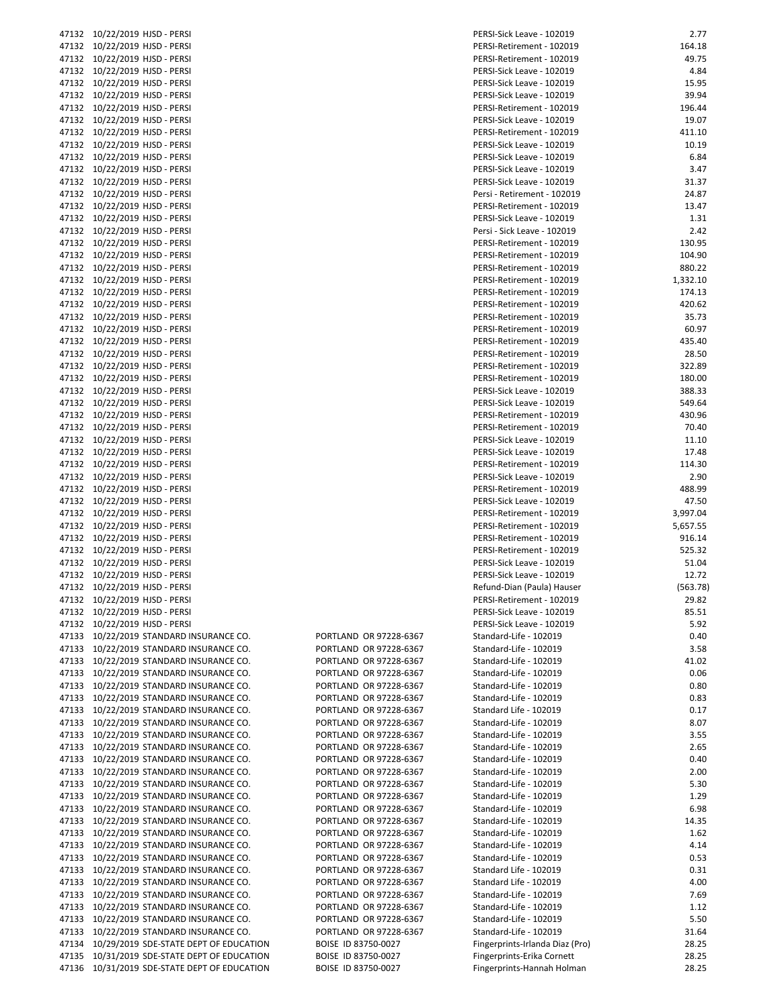| 47132 10/22/2019 HJSD - PERSI                |                        | PERSI-Sick Leave - 102019       | 2.77     |
|----------------------------------------------|------------------------|---------------------------------|----------|
| 47132 10/22/2019 HJSD - PERSI                |                        | PERSI-Retirement - 102019       | 164.18   |
| 47132 10/22/2019 HJSD - PERSI                |                        | PERSI-Retirement - 102019       | 49.75    |
| 47132 10/22/2019 HJSD - PERSI                |                        | PERSI-Sick Leave - 102019       | 4.84     |
|                                              |                        |                                 |          |
| 47132 10/22/2019 HJSD - PERSI                |                        | PERSI-Sick Leave - 102019       | 15.95    |
| 47132 10/22/2019 HJSD - PERSI                |                        | PERSI-Sick Leave - 102019       | 39.94    |
| 47132 10/22/2019 HJSD - PERSI                |                        | PERSI-Retirement - 102019       | 196.44   |
| 47132 10/22/2019 HJSD - PERSI                |                        | PERSI-Sick Leave - 102019       | 19.07    |
| 47132 10/22/2019 HJSD - PERSI                |                        | PERSI-Retirement - 102019       | 411.10   |
|                                              |                        |                                 |          |
| 47132 10/22/2019 HJSD - PERSI                |                        | PERSI-Sick Leave - 102019       | 10.19    |
| 47132 10/22/2019 HJSD - PERSI                |                        | PERSI-Sick Leave - 102019       | 6.84     |
| 47132 10/22/2019 HJSD - PERSI                |                        | PERSI-Sick Leave - 102019       | 3.47     |
| 47132 10/22/2019 HJSD - PERSI                |                        | PERSI-Sick Leave - 102019       | 31.37    |
|                                              |                        |                                 |          |
| 47132 10/22/2019 HJSD - PERSI                |                        | Persi - Retirement - 102019     | 24.87    |
| 47132 10/22/2019 HJSD - PERSI                |                        | PERSI-Retirement - 102019       | 13.47    |
| 47132 10/22/2019 HJSD - PERSI                |                        | PERSI-Sick Leave - 102019       | 1.31     |
| 47132 10/22/2019 HJSD - PERSI                |                        | Persi - Sick Leave - 102019     | 2.42     |
| 47132 10/22/2019 HJSD - PERSI                |                        | PERSI-Retirement - 102019       | 130.95   |
|                                              |                        |                                 |          |
| 47132 10/22/2019 HJSD - PERSI                |                        | PERSI-Retirement - 102019       | 104.90   |
| 47132 10/22/2019 HJSD - PERSI                |                        | PERSI-Retirement - 102019       | 880.22   |
| 47132 10/22/2019 HJSD - PERSI                |                        | PERSI-Retirement - 102019       | 1,332.10 |
| 47132 10/22/2019 HJSD - PERSI                |                        | PERSI-Retirement - 102019       | 174.13   |
| 47132 10/22/2019 HJSD - PERSI                |                        | PERSI-Retirement - 102019       | 420.62   |
|                                              |                        |                                 |          |
| 47132 10/22/2019 HJSD - PERSI                |                        | PERSI-Retirement - 102019       | 35.73    |
| 47132 10/22/2019 HJSD - PERSI                |                        | PERSI-Retirement - 102019       | 60.97    |
| 47132 10/22/2019 HJSD - PERSI                |                        | PERSI-Retirement - 102019       | 435.40   |
| 47132 10/22/2019 HJSD - PERSI                |                        | PERSI-Retirement - 102019       | 28.50    |
|                                              |                        |                                 | 322.89   |
| 47132 10/22/2019 HJSD - PERSI                |                        | PERSI-Retirement - 102019       |          |
| 47132 10/22/2019 HJSD - PERSI                |                        | PERSI-Retirement - 102019       | 180.00   |
| 47132 10/22/2019 HJSD - PERSI                |                        | PERSI-Sick Leave - 102019       | 388.33   |
| 47132 10/22/2019 HJSD - PERSI                |                        | PERSI-Sick Leave - 102019       | 549.64   |
| 47132 10/22/2019 HJSD - PERSI                |                        | PERSI-Retirement - 102019       | 430.96   |
|                                              |                        |                                 |          |
| 47132 10/22/2019 HJSD - PERSI                |                        | PERSI-Retirement - 102019       | 70.40    |
| 47132 10/22/2019 HJSD - PERSI                |                        | PERSI-Sick Leave - 102019       | 11.10    |
| 47132 10/22/2019 HJSD - PERSI                |                        | PERSI-Sick Leave - 102019       | 17.48    |
| 47132 10/22/2019 HJSD - PERSI                |                        | PERSI-Retirement - 102019       | 114.30   |
| 47132 10/22/2019 HJSD - PERSI                |                        | PERSI-Sick Leave - 102019       | 2.90     |
|                                              |                        |                                 | 488.99   |
| 47132 10/22/2019 HJSD - PERSI                |                        | PERSI-Retirement - 102019       |          |
| 47132 10/22/2019 HJSD - PERSI                |                        | PERSI-Sick Leave - 102019       | 47.50    |
| 47132 10/22/2019 HJSD - PERSI                |                        | PERSI-Retirement - 102019       | 3,997.04 |
| 47132 10/22/2019 HJSD - PERSI                |                        | PERSI-Retirement - 102019       | 5,657.55 |
| 47132 10/22/2019 HJSD - PERSI                |                        | PERSI-Retirement - 102019       | 916.14   |
|                                              |                        |                                 |          |
| 47132 10/22/2019 HJSD - PERSI                |                        | PERSI-Retirement - 102019       | 525.32   |
| 47132 10/22/2019 HJSD - PERSI                |                        | PERSI-Sick Leave - 102019       | 51.04    |
| 47132 10/22/2019 HJSD - PERSI                |                        | PERSI-Sick Leave - 102019       | 12.72    |
| 47132 10/22/2019 HJSD - PERSI                |                        | Refund-Dian (Paula) Hauser      | (563.78  |
| 47132 10/22/2019 HJSD - PERSI                |                        | PERSI-Retirement - 102019       | 29.82    |
|                                              |                        |                                 |          |
| 47132 10/22/2019 HJSD - PERSI                |                        | PERSI-Sick Leave - 102019       | 85.51    |
| 47132 10/22/2019 HJSD - PERSI                |                        | PERSI-Sick Leave - 102019       | 5.92     |
| 47133 10/22/2019 STANDARD INSURANCE CO.      | PORTLAND OR 97228-6367 | Standard-Life - 102019          | 0.40     |
| 47133 10/22/2019 STANDARD INSURANCE CO.      | PORTLAND OR 97228-6367 | Standard-Life - 102019          | 3.58     |
| 47133 10/22/2019 STANDARD INSURANCE CO.      | PORTLAND OR 97228-6367 | Standard-Life - 102019          | 41.02    |
|                                              |                        |                                 |          |
| 47133 10/22/2019 STANDARD INSURANCE CO.      | PORTLAND OR 97228-6367 | Standard-Life - 102019          | 0.06     |
| 47133 10/22/2019 STANDARD INSURANCE CO.      | PORTLAND OR 97228-6367 | Standard-Life - 102019          | 0.80     |
| 47133 10/22/2019 STANDARD INSURANCE CO.      | PORTLAND OR 97228-6367 | Standard-Life - 102019          | 0.83     |
| 47133 10/22/2019 STANDARD INSURANCE CO.      | PORTLAND OR 97228-6367 | Standard Life - 102019          | 0.17     |
| 47133 10/22/2019 STANDARD INSURANCE CO.      | PORTLAND OR 97228-6367 | Standard-Life - 102019          | 8.07     |
| 47133 10/22/2019 STANDARD INSURANCE CO.      | PORTLAND OR 97228-6367 | Standard-Life - 102019          | 3.55     |
|                                              |                        |                                 |          |
| 47133 10/22/2019 STANDARD INSURANCE CO.      | PORTLAND OR 97228-6367 | Standard-Life - 102019          | 2.65     |
| 47133 10/22/2019 STANDARD INSURANCE CO.      | PORTLAND OR 97228-6367 | Standard-Life - 102019          | 0.40     |
| 47133 10/22/2019 STANDARD INSURANCE CO.      | PORTLAND OR 97228-6367 | Standard-Life - 102019          | 2.00     |
| 47133 10/22/2019 STANDARD INSURANCE CO.      | PORTLAND OR 97228-6367 | Standard-Life - 102019          | 5.30     |
|                                              |                        |                                 |          |
| 47133 10/22/2019 STANDARD INSURANCE CO.      | PORTLAND OR 97228-6367 | Standard-Life - 102019          | 1.29     |
| 47133 10/22/2019 STANDARD INSURANCE CO.      | PORTLAND OR 97228-6367 | Standard-Life - 102019          | 6.98     |
| 47133 10/22/2019 STANDARD INSURANCE CO.      | PORTLAND OR 97228-6367 | Standard-Life - 102019          | 14.35    |
| 47133 10/22/2019 STANDARD INSURANCE CO.      | PORTLAND OR 97228-6367 | Standard-Life - 102019          | 1.62     |
| 47133 10/22/2019 STANDARD INSURANCE CO.      | PORTLAND OR 97228-6367 | Standard-Life - 102019          | 4.14     |
| 47133 10/22/2019 STANDARD INSURANCE CO.      | PORTLAND OR 97228-6367 | Standard-Life - 102019          | 0.53     |
|                                              |                        |                                 |          |
| 47133 10/22/2019 STANDARD INSURANCE CO.      | PORTLAND OR 97228-6367 | Standard Life - 102019          | 0.31     |
| 47133 10/22/2019 STANDARD INSURANCE CO.      | PORTLAND OR 97228-6367 | Standard Life - 102019          | 4.00     |
| 47133 10/22/2019 STANDARD INSURANCE CO.      | PORTLAND OR 97228-6367 | Standard-Life - 102019          | 7.69     |
| 47133 10/22/2019 STANDARD INSURANCE CO.      | PORTLAND OR 97228-6367 | Standard-Life - 102019          | 1.12     |
| 47133 10/22/2019 STANDARD INSURANCE CO.      | PORTLAND OR 97228-6367 | Standard-Life - 102019          | 5.50     |
|                                              |                        |                                 |          |
| 47133 10/22/2019 STANDARD INSURANCE CO.      | PORTLAND OR 97228-6367 | Standard-Life - 102019          | 31.64    |
| 47134 10/29/2019 SDE-STATE DEPT OF EDUCATION | BOISE ID 83750-0027    | Fingerprints-Irlanda Diaz (Pro) | 28.25    |
| 47135 10/31/2019 SDE-STATE DEPT OF EDUCATION | BOISE ID 83750-0027    | Fingerprints-Erika Cornett      | 28.25    |
| 47136 10/31/2019 SDE-STATE DEPT OF EDUCATION | BOISE ID 83750-0027    | Fingerprints-Hannah Holman      | 28.25    |
|                                              |                        |                                 |          |

| PORTI AND    | OR 97228-6367 |
|--------------|---------------|
| PORTI AND    | OR 97228-6367 |
| PORTI AND    | OR 97228-6367 |
| PORTI AND    | OR 97228-6367 |
| PORTI AND    | OR 97228-6367 |
| PORTI AND    | OR 97228-6367 |
| PORTI AND    | OR 97228-6367 |
| PORTI AND    | OR 97228-6367 |
| PORTI AND    | OR 97228-6367 |
| PORTI AND    | OR 97228-6367 |
| PORTI AND    | OR 97228-6367 |
| PORTI AND    | OR 97228-6367 |
| PORTI AND    | OR 97228-6367 |
| PORTI AND    | OR 97228-6367 |
| PORTI AND    | OR 97228-6367 |
| PORTI AND    | OR 97228-6367 |
| PORTLAND     | OR 97228-6367 |
| PORTI AND    | OR 97228-6367 |
| PORTI AND    | OR 97228-6367 |
| PORTI AND    | OR 97228-6367 |
| PORTI AND    | OR 97228-6367 |
| PORTI AND    | OR 97228-6367 |
| PORTI AND    | OR 97228-6367 |
| PORTI AND    | OR 97228-6367 |
| AND<br>P∩RTI | OR 97228-6367 |
| ROISE        | ID 83750-0027 |
| BOISE        | ID 83750-0027 |
| ROISE        | ID 83750-0027 |
|              |               |

| 47132   10/22/2019  HJSD - PERSI                |                        | PERSI-Sick Leave - 102019       | 2.77     |
|-------------------------------------------------|------------------------|---------------------------------|----------|
| 47132 10/22/2019 HJSD - PERSI                   |                        | PERSI-Retirement - 102019       | 164.18   |
| 47132 10/22/2019 HJSD - PERSI                   |                        | PERSI-Retirement - 102019       | 49.75    |
|                                                 |                        |                                 |          |
| 47132 10/22/2019 HJSD - PERSI                   |                        | PERSI-Sick Leave - 102019       | 4.84     |
| 47132 10/22/2019 HJSD - PERSI                   |                        | PERSI-Sick Leave - 102019       | 15.95    |
| 47132 10/22/2019 HJSD - PERSI                   |                        | PERSI-Sick Leave - 102019       | 39.94    |
| 47132 10/22/2019 HJSD - PERSI                   |                        | PERSI-Retirement - 102019       | 196.44   |
| 47132 10/22/2019 HJSD - PERSI                   |                        | PERSI-Sick Leave - 102019       | 19.07    |
|                                                 |                        |                                 |          |
| 47132 10/22/2019 HJSD - PERSI                   |                        | PERSI-Retirement - 102019       | 411.10   |
| 47132 10/22/2019 HJSD - PERSI                   |                        | PERSI-Sick Leave - 102019       | 10.19    |
| 47132 10/22/2019 HJSD - PERSI                   |                        | PERSI-Sick Leave - 102019       | 6.84     |
| 47132 10/22/2019 HJSD - PERSI                   |                        | PERSI-Sick Leave - 102019       | 3.47     |
| 47132 10/22/2019 HJSD - PERSI                   |                        | PERSI-Sick Leave - 102019       | 31.37    |
|                                                 |                        |                                 |          |
| 47132 10/22/2019 HJSD - PERSI                   |                        | Persi - Retirement - 102019     | 24.87    |
| 47132 10/22/2019 HJSD - PERSI                   |                        | PERSI-Retirement - 102019       | 13.47    |
| 47132 10/22/2019 HJSD - PERSI                   |                        | PERSI-Sick Leave - 102019       | 1.31     |
| 47132 10/22/2019 HJSD - PERSI                   |                        | Persi - Sick Leave - 102019     | 2.42     |
| 47132 10/22/2019 HJSD - PERSI                   |                        | PERSI-Retirement - 102019       | 130.95   |
|                                                 |                        |                                 |          |
| 47132 10/22/2019 HJSD - PERSI                   |                        | PERSI-Retirement - 102019       | 104.90   |
| 47132 10/22/2019 HJSD - PERSI                   |                        | PERSI-Retirement - 102019       | 880.22   |
| 47132 10/22/2019 HJSD - PERSI                   |                        | PERSI-Retirement - 102019       | 1,332.10 |
| 47132 10/22/2019 HJSD - PERSI                   |                        | PERSI-Retirement - 102019       | 174.13   |
| 47132 10/22/2019 HJSD - PERSI                   |                        | PERSI-Retirement - 102019       | 420.62   |
|                                                 |                        |                                 |          |
| 47132 10/22/2019 HJSD - PERSI                   |                        | PERSI-Retirement - 102019       | 35.73    |
| 47132 10/22/2019 HJSD - PERSI                   |                        | PERSI-Retirement - 102019       | 60.97    |
| 47132 10/22/2019 HJSD - PERSI                   |                        | PERSI-Retirement - 102019       | 435.40   |
| 47132 10/22/2019 HJSD - PERSI                   |                        | PERSI-Retirement - 102019       | 28.50    |
| 47132 10/22/2019 HJSD - PERSI                   |                        | PERSI-Retirement - 102019       | 322.89   |
|                                                 |                        |                                 |          |
| 47132 10/22/2019 HJSD - PERSI                   |                        | PERSI-Retirement - 102019       | 180.00   |
| 47132 10/22/2019 HJSD - PERSI                   |                        | PERSI-Sick Leave - 102019       | 388.33   |
| 47132 10/22/2019 HJSD - PERSI                   |                        | PERSI-Sick Leave - 102019       | 549.64   |
| 47132 10/22/2019 HJSD - PERSI                   |                        | PERSI-Retirement - 102019       | 430.96   |
|                                                 |                        |                                 |          |
| 47132 10/22/2019 HJSD - PERSI                   |                        | PERSI-Retirement - 102019       | 70.40    |
| 47132 10/22/2019 HJSD - PERSI                   |                        | PERSI-Sick Leave - 102019       | 11.10    |
| 47132 10/22/2019 HJSD - PERSI                   |                        | PERSI-Sick Leave - 102019       | 17.48    |
| 47132 10/22/2019 HJSD - PERSI                   |                        | PERSI-Retirement - 102019       | 114.30   |
| 47132 10/22/2019 HJSD - PERSI                   |                        | PERSI-Sick Leave - 102019       | 2.90     |
|                                                 |                        |                                 |          |
| 47132 10/22/2019 HJSD - PERSI                   |                        | PERSI-Retirement - 102019       | 488.99   |
| 47132 10/22/2019 HJSD - PERSI                   |                        | PERSI-Sick Leave - 102019       | 47.50    |
| 47132 10/22/2019 HJSD - PERSI                   |                        | PERSI-Retirement - 102019       | 3,997.04 |
| 47132 10/22/2019 HJSD - PERSI                   |                        | PERSI-Retirement - 102019       | 5,657.55 |
| 47132 10/22/2019 HJSD - PERSI                   |                        | PERSI-Retirement - 102019       | 916.14   |
|                                                 |                        |                                 |          |
| 47132 10/22/2019 HJSD - PERSI                   |                        | PERSI-Retirement - 102019       | 525.32   |
| 47132 10/22/2019 HJSD - PERSI                   |                        | PERSI-Sick Leave - 102019       | 51.04    |
| 47132 10/22/2019 HJSD - PERSI                   |                        | PERSI-Sick Leave - 102019       | 12.72    |
| 47132 10/22/2019 HJSD - PERSI                   |                        | Refund-Dian (Paula) Hauser      | (563.78) |
|                                                 |                        | PERSI-Retirement - 102019       | 29.82    |
|                                                 |                        |                                 |          |
| 47132 10/22/2019 HJSD - PERSI                   |                        | PERSI-Sick Leave - 102019       | 85.51    |
| 47132 10/22/2019 HJSD - PERSI                   |                        | PERSI-Sick Leave - 102019       | 5.92     |
| 47133 10/22/2019 STANDARD INSURANCE CO.         | PORTLAND OR 97228-6367 | Standard-Life - 102019          | 0.40     |
| 47133 10/22/2019 STANDARD INSURANCE CO.         | PORTLAND OR 97228-6367 | Standard-Life - 102019          | 3.58     |
|                                                 | PORTLAND OR 97228-6367 |                                 |          |
| 47133 10/22/2019 STANDARD INSURANCE CO.         |                        | Standard-Life - 102019          | 41.02    |
| 47133 10/22/2019 STANDARD INSURANCE CO.         | PORTLAND OR 97228-6367 | Standard-Life - 102019          | 0.06     |
| 47133 10/22/2019 STANDARD INSURANCE CO.         | PORTLAND OR 97228-6367 | Standard-Life - 102019          | 0.80     |
| 47133 10/22/2019 STANDARD INSURANCE CO.         | PORTLAND OR 97228-6367 | Standard-Life - 102019          | 0.83     |
| 47133 10/22/2019 STANDARD INSURANCE CO.         | PORTLAND OR 97228-6367 | Standard Life - 102019          | 0.17     |
|                                                 |                        | Standard-Life - 102019          |          |
| 47133 10/22/2019 STANDARD INSURANCE CO.         | PORTLAND OR 97228-6367 |                                 | 8.07     |
| 47133 10/22/2019 STANDARD INSURANCE CO.         | PORTLAND OR 97228-6367 | Standard-Life - 102019          | 3.55     |
| 47133 10/22/2019 STANDARD INSURANCE CO.         | PORTLAND OR 97228-6367 | Standard-Life - 102019          | 2.65     |
| 47133 10/22/2019 STANDARD INSURANCE CO.         | PORTLAND OR 97228-6367 | Standard-Life - 102019          | 0.40     |
| 47133 10/22/2019 STANDARD INSURANCE CO.         | PORTLAND OR 97228-6367 | Standard-Life - 102019          | 2.00     |
|                                                 |                        |                                 |          |
| 47133 10/22/2019 STANDARD INSURANCE CO.         | PORTLAND OR 97228-6367 | Standard-Life - 102019          | 5.30     |
| 47133 10/22/2019 STANDARD INSURANCE CO.         | PORTLAND OR 97228-6367 | Standard-Life - 102019          | 1.29     |
| 47133 10/22/2019 STANDARD INSURANCE CO.         | PORTLAND OR 97228-6367 | Standard-Life - 102019          | 6.98     |
| 47133 10/22/2019 STANDARD INSURANCE CO.         | PORTLAND OR 97228-6367 | Standard-Life - 102019          | 14.35    |
| 47133 10/22/2019 STANDARD INSURANCE CO.         |                        |                                 |          |
|                                                 | PORTLAND OR 97228-6367 | Standard-Life - 102019          | 1.62     |
| 47133 10/22/2019 STANDARD INSURANCE CO.         | PORTLAND OR 97228-6367 | Standard-Life - 102019          | 4.14     |
| 47133 10/22/2019 STANDARD INSURANCE CO.         | PORTLAND OR 97228-6367 | Standard-Life - 102019          | 0.53     |
| 47133 10/22/2019 STANDARD INSURANCE CO.         | PORTLAND OR 97228-6367 | Standard Life - 102019          | 0.31     |
| 47133 10/22/2019 STANDARD INSURANCE CO.         | PORTLAND OR 97228-6367 | Standard Life - 102019          | 4.00     |
|                                                 |                        |                                 |          |
| 47133 10/22/2019 STANDARD INSURANCE CO.         | PORTLAND OR 97228-6367 | Standard-Life - 102019          | 7.69     |
| 47133 10/22/2019 STANDARD INSURANCE CO.         | PORTLAND OR 97228-6367 | Standard-Life - 102019          | 1.12     |
| 47133 10/22/2019 STANDARD INSURANCE CO.         | PORTLAND OR 97228-6367 | Standard-Life - 102019          | 5.50     |
| 47133 10/22/2019 STANDARD INSURANCE CO.         | PORTLAND OR 97228-6367 | Standard-Life - 102019          | 31.64    |
|                                                 |                        |                                 |          |
| 47134 10/29/2019 SDE-STATE DEPT OF EDUCATION    | BOISE ID 83750-0027    | Fingerprints-Irlanda Diaz (Pro) | 28.25    |
| 47135 10/31/2019 SDE-STATE DEPT OF EDUCATION    | BOISE ID 83750-0027    | Fingerprints-Erika Cornett      | 28.25    |
| 47136    10/31/2019 SDE-STATE DEPT OF EDUCATION | BOISE ID 83750-0027    | Fingerprints-Hannah Holman      | 28.25    |